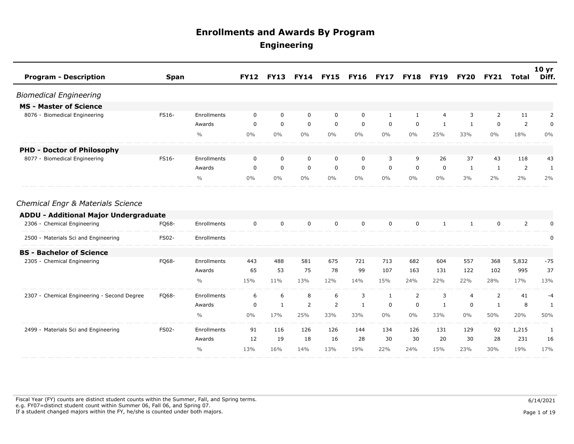| <b>Program - Description</b>                 | <b>Span</b>  |               | <b>FY12</b> | <b>FY13</b>  | <b>FY14</b> | <b>FY15</b>    | <b>FY16</b>  | <b>FY17</b>  | <b>FY18</b>    | <b>FY19</b>    | <b>FY20</b>    | <b>FY21</b>  | <b>Total</b>   | 10 <sub>yr</sub><br>Diff. |
|----------------------------------------------|--------------|---------------|-------------|--------------|-------------|----------------|--------------|--------------|----------------|----------------|----------------|--------------|----------------|---------------------------|
| <b>Biomedical Engineering</b>                |              |               |             |              |             |                |              |              |                |                |                |              |                |                           |
| <b>MS - Master of Science</b>                |              |               |             |              |             |                |              |              |                |                |                |              |                |                           |
| 8076 - Biomedical Engineering                | FS16-        | Enrollments   | $\mathbf 0$ | $\mathbf 0$  | $\mathbf 0$ | $\mathbf 0$    | $\mathbf 0$  | 1            | $\mathbf{1}$   | $\overline{4}$ | 3              | 2            | 11             | 2                         |
|                                              |              | Awards        | $\mathbf 0$ | $\mathbf 0$  | $\mathbf 0$ | $\mathbf 0$    | $\mathbf 0$  | $\mathbf 0$  | $\mathbf 0$    | 1              | $\mathbf{1}$   | $\mathbf 0$  | $\overline{2}$ | 0                         |
|                                              |              | $\frac{0}{0}$ | $0\%$       | $0\%$        | $0\%$       | $0\%$          | $0\%$        | $0\%$        | $0\%$          | 25%            | 33%            | $0\%$        | 18%            | $0\%$                     |
| <b>PHD - Doctor of Philosophy</b>            |              |               |             |              |             |                |              |              |                |                |                |              |                |                           |
| 8077 - Biomedical Engineering                | <b>FS16-</b> | Enrollments   | $\mathbf 0$ | $\mathbf 0$  | $\mathbf 0$ | $\mathbf 0$    | $\mathbf 0$  | 3            | 9              | 26             | 37             | 43           | 118            | 43                        |
|                                              |              | Awards        | $\mathbf 0$ | $\mathbf 0$  | $\mathbf 0$ | $\mathbf 0$    | $\mathbf 0$  | $\mathbf 0$  | $\mathbf 0$    | $\mathbf 0$    | $\mathbf{1}$   | $\mathbf{1}$ | 2              | $\mathbf{1}$              |
|                                              |              | $\frac{0}{0}$ | $0\%$       | $0\%$        | $0\%$       | $0\%$          | $0\%$        | $0\%$        | $0\%$          | $0\%$          | 3%             | 2%           | 2%             | 2%                        |
| Chemical Engr & Materials Science            |              |               |             |              |             |                |              |              |                |                |                |              |                |                           |
| <b>ADDU - Additional Major Undergraduate</b> |              |               |             |              |             |                |              |              |                |                |                |              |                |                           |
| 2306 - Chemical Engineering                  | FQ68-        | Enrollments   | $\mathbf 0$ | $\mathbf 0$  | $\mathbf 0$ | $\mathbf 0$    | $\mathbf 0$  | $\mathbf 0$  | $\mathbf 0$    | $\mathbf{1}$   | $\mathbf{1}$   | $\mathbf 0$  | $\overline{2}$ | 0                         |
| 2500 - Materials Sci and Engineering         | <b>FS02-</b> | Enrollments   |             |              |             |                |              |              |                |                |                |              |                | 0                         |
| <b>BS - Bachelor of Science</b>              |              |               |             |              |             |                |              |              |                |                |                |              |                |                           |
| 2305 - Chemical Engineering                  | FQ68-        | Enrollments   | 443         | 488          | 581         | 675            | 721          | 713          | 682            | 604            | 557            | 368          | 5,832          | $-75$                     |
|                                              |              | Awards        | 65          | 53           | 75          | 78             | 99           | 107          | 163            | 131            | 122            | 102          | 995            | 37                        |
|                                              |              | $\frac{0}{0}$ | 15%         | 11%          | 13%         | 12%            | 14%          | 15%          | 24%            | 22%            | 22%            | 28%          | 17%            | 13%                       |
| 2307 - Chemical Engineering - Second Degree  | FQ68-        | Enrollments   | 6           | 6            | 8           | 6              | 3            | $\mathbf{1}$ | $\overline{2}$ | 3              | $\overline{4}$ | 2            | 41             | $-4$                      |
|                                              |              | Awards        | 0           | $\mathbf{1}$ | 2           | $\overline{2}$ | $\mathbf{1}$ | 0            | $\mathbf 0$    | $\mathbf{1}$   | $\mathbf 0$    | $\mathbf{1}$ | 8              | $\mathbf{1}$              |
|                                              |              | $\frac{0}{0}$ | $0\%$       | 17%          | 25%         | 33%            | 33%          | $0\%$        | $0\%$          | 33%            | $0\%$          | 50%          | 20%            | 50%                       |
| 2499 - Materials Sci and Engineering         | <b>FS02-</b> | Enrollments   | 91          | 116          | 126         | 126            | 144          | 134          | 126            | 131            | 129            | 92           | 1,215          | 1                         |
|                                              |              | Awards        | 12          | 19           | 18          | 16             | 28           | 30           | 30             | 20             | 30             | 28           | 231            | 16                        |
|                                              |              | $\frac{0}{0}$ | 13%         | 16%          | 14%         | 13%            | 19%          | 22%          | 24%            | 15%            | 23%            | 30%          | 19%            | 17%                       |

Fiscal Year (FY) counts are distinct student counts within the Summer, Fall, and Spring terms.  $6/14/2021$  e.g. FY07=distinct student count within Summer 06, Fall 06, and Spring 07. If a student changed majors within the FY, he/she is counted under both majors. Page 1 of 19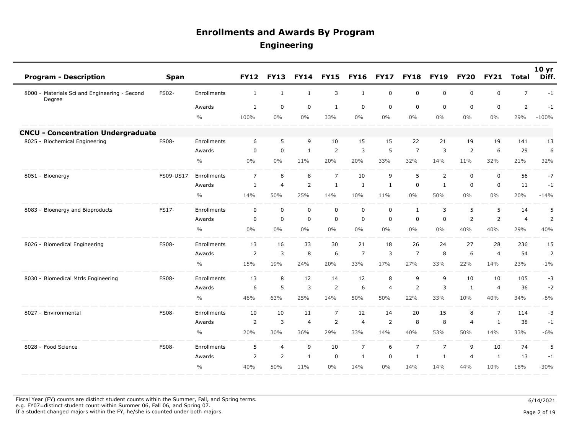| <b>Program - Description</b>                            | <b>Span</b>  |               | <b>FY12</b>    | <b>FY13</b>    | <b>FY14</b>    | <b>FY15</b>    | <b>FY16</b>    | <b>FY17</b> | <b>FY18</b>    | <b>FY19</b>    | <b>FY20</b>    | <b>FY21</b>    | <b>Total</b>   | 10 <sub>yr</sub><br>Diff. |
|---------------------------------------------------------|--------------|---------------|----------------|----------------|----------------|----------------|----------------|-------------|----------------|----------------|----------------|----------------|----------------|---------------------------|
| 8000 - Materials Sci and Engineering - Second<br>Degree | FS02-        | Enrollments   | $\mathbf{1}$   | $\mathbf{1}$   | $\mathbf{1}$   | 3              | $\mathbf{1}$   | $\mathbf 0$ | $\mathbf 0$    | $\mathbf 0$    | $\mathbf 0$    | $\mathbf 0$    | $\overline{7}$ | $-1$                      |
|                                                         |              | Awards        | 1              | $\mathbf 0$    | $\mathbf 0$    | 1              | $\mathbf 0$    | $\mathbf 0$ | $\mathbf 0$    | $\mathbf 0$    | $\mathbf{0}$   | $\mathbf 0$    | $\overline{2}$ | $-1$                      |
|                                                         |              | $\frac{0}{0}$ | 100%           | $0\%$          | 0%             | 33%            | 0%             | $0\%$       | 0%             | $0\%$          | $0\%$          | $0\%$          | 29%            | $-100%$                   |
| <b>CNCU - Concentration Undergraduate</b>               |              |               |                |                |                |                |                |             |                |                |                |                |                |                           |
| 8025 - Biochemical Engineering                          | <b>FS08-</b> | Enrollments   | 6              | 5              | 9              | 10             | 15             | 15          | 22             | 21             | 19             | 19             | 141            | 13                        |
|                                                         |              | Awards        | $\mathbf 0$    | $\mathbf 0$    | 1              | 2              | 3              | 5           | $\overline{7}$ | 3              | $\overline{2}$ | 6              | 29             | 6                         |
|                                                         |              | $\frac{0}{0}$ | 0%             | 0%             | 11%            | 20%            | 20%            | 33%         | 32%            | 14%            | 11%            | 32%            | 21%            | 32%                       |
| 8051 - Bioenergy                                        | FS09-US17    | Enrollments   | $\overline{7}$ | 8              | 8              | $\overline{7}$ | 10             | 9           | 5              | $\overline{2}$ | $\mathbf 0$    | $\mathbf 0$    | 56             | $-7$                      |
|                                                         |              | Awards        | $\mathbf{1}$   | 4              | 2              | $\mathbf{1}$   | 1              | 1           | $\mathbf 0$    | $\mathbf{1}$   | 0              | $\mathbf 0$    | 11             | $-1$                      |
|                                                         |              | $\frac{0}{0}$ | 14%            | 50%            | 25%            | 14%            | 10%            | 11%         | 0%             | 50%            | $0\%$          | $0\%$          | 20%            | $-14%$                    |
| 8083 - Bioenergy and Bioproducts                        | FS17-        | Enrollments   | $\mathsf 0$    | $\mathbf 0$    | $\mathbf 0$    | $\mathbf 0$    | $\mathbf 0$    | $\mathsf 0$ | $\mathbf{1}$   | 3              | 5              | 5              | 14             | 5                         |
|                                                         |              | Awards        | $\mathbf 0$    | $\mathbf 0$    | $\mathbf 0$    | $\Omega$       | $\mathbf 0$    | $\mathbf 0$ | $\mathbf 0$    | $\mathbf 0$    | $\overline{2}$ | $\overline{2}$ | $\overline{4}$ | $\overline{2}$            |
|                                                         |              | $\frac{0}{0}$ | 0%             | $0\%$          | 0%             | $0\%$          | 0%             | $0\%$       | $0\%$          | $0\%$          | 40%            | 40%            | 29%            | 40%                       |
| 8026 - Biomedical Engineering                           | <b>FS08-</b> | Enrollments   | 13             | 16             | 33             | 30             | 21             | 18          | 26             | 24             | 27             | 28             | 236            | 15                        |
|                                                         |              | Awards        | $\overline{2}$ | 3              | 8              | 6              | $\overline{7}$ | 3           | $\overline{7}$ | 8              | 6              | $\overline{4}$ | 54             | $\overline{2}$            |
|                                                         |              | $\frac{0}{0}$ | 15%            | 19%            | 24%            | 20%            | 33%            | 17%         | 27%            | 33%            | 22%            | 14%            | 23%            | $-1\%$                    |
| 8030 - Biomedical Mtrls Engineering                     | <b>FS08-</b> | Enrollments   | 13             | 8              | 12             | 14             | 12             | 8           | 9              | 9              | 10             | 10             | 105            | $-3$                      |
|                                                         |              | Awards        | 6              | 5              | 3              | $\overline{2}$ | 6              | 4           | $\overline{2}$ | 3              | 1              | $\overline{4}$ | 36             | $-2$                      |
|                                                         |              | $\frac{0}{0}$ | 46%            | 63%            | 25%            | 14%            | 50%            | 50%         | 22%            | 33%            | 10%            | 40%            | 34%            | $-6%$                     |
| 8027 - Environmental                                    | <b>FS08-</b> | Enrollments   | 10             | 10             | 11             | $\overline{7}$ | 12             | 14          | 20             | 15             | 8              | $\overline{7}$ | 114            | $-3$                      |
|                                                         |              | Awards        | 2              | 3              | $\overline{4}$ | $\overline{2}$ | $\overline{4}$ | 2           | 8              | 8              | $\overline{4}$ | $\mathbf{1}$   | 38             | $-1$                      |
|                                                         |              | $\frac{0}{0}$ | 20%            | 30%            | 36%            | 29%            | 33%            | 14%         | 40%            | 53%            | 50%            | 14%            | 33%            | $-6%$                     |
| 8028 - Food Science                                     | <b>FS08-</b> | Enrollments   | 5              | $\overline{4}$ | 9              | 10             | $\overline{7}$ | 6           | $\overline{7}$ | $\overline{7}$ | 9              | 10             | 74             | 5                         |
|                                                         |              | Awards        | 2              | 2              | $\mathbf{1}$   | $\mathbf 0$    | 1              | $\mathbf 0$ | 1              | $\mathbf{1}$   | $\overline{4}$ | $\mathbf{1}$   | 13             | $-1$                      |
|                                                         |              | $\frac{0}{0}$ | 40%            | 50%            | 11%            | 0%             | 14%            | 0%          | 14%            | 14%            | 44%            | 10%            | 18%            | $-30%$                    |

Fiscal Year (FY) counts are distinct student counts within the Summer, Fall, and Spring terms.  $6/14/2021$  e.g. FY07=distinct student count within Summer 06, Fall 06, and Spring 07. If a student changed majors within the FY, he/she is counted under both majors. Page 2 of 19

Page 2 of 19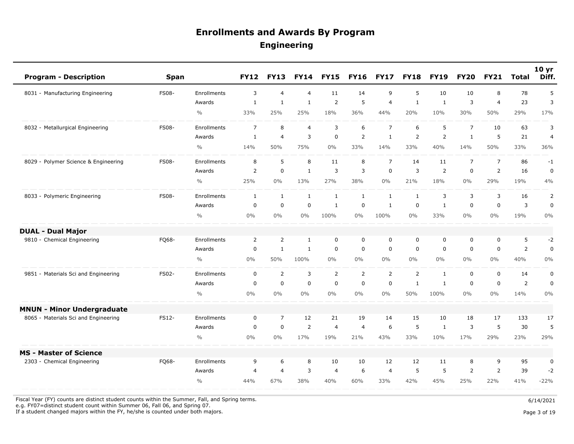| <b>Program - Description</b>         | <b>Span</b>  |                    | <b>FY12</b>    | <b>FY13</b>    | <b>FY14</b>    | <b>FY15</b>    | <b>FY16</b>    | <b>FY17</b>    | <b>FY18</b>    | <b>FY19</b>    | <b>FY20</b>    | <b>FY21</b>    | <b>Total</b>   | 10 <sub>yr</sub><br>Diff. |
|--------------------------------------|--------------|--------------------|----------------|----------------|----------------|----------------|----------------|----------------|----------------|----------------|----------------|----------------|----------------|---------------------------|
| 8031 - Manufacturing Engineering     | <b>FS08-</b> | Enrollments        | 3              | $\overline{4}$ | $\overline{4}$ | 11             | 14             | 9              | 5              | 10             | 10             | 8              | 78             | 5                         |
|                                      |              | Awards             | $\mathbf{1}$   | $\mathbf{1}$   | $\mathbf{1}$   | $\overline{2}$ | 5              | $\overline{4}$ | $\mathbf{1}$   | $\mathbf{1}$   | 3              | $\overline{4}$ | 23             | 3                         |
|                                      |              | $\frac{0}{0}$      | 33%            | 25%            | 25%            | 18%            | 36%            | 44%            | 20%            | 10%            | 30%            | 50%            | 29%            | 17%                       |
| 8032 - Metallurgical Engineering     | <b>FS08-</b> | Enrollments        | $\overline{7}$ | 8              | $\overline{4}$ | 3              | 6              | $\overline{7}$ | 6              | 5              | $\overline{7}$ | 10             | 63             | 3                         |
|                                      |              | Awards             | $\mathbf{1}$   | $\overline{4}$ | 3              | $\mathsf 0$    | $\overline{2}$ | $\mathbf{1}$   | $\overline{2}$ | $\overline{2}$ | $\mathbf{1}$   | 5              | 21             | $\overline{4}$            |
|                                      |              | $\frac{0}{0}$      | 14%            | 50%            | 75%            | $0\%$          | 33%            | 14%            | 33%            | 40%            | 14%            | 50%            | 33%            | 36%                       |
| 8029 - Polymer Science & Engineering | <b>FS08-</b> | Enrollments        | 8              | 5              | 8              | 11             | 8              | $\overline{7}$ | 14             | 11             | $\overline{7}$ | $\overline{7}$ | 86             | $-1$                      |
|                                      |              | Awards             | $\overline{2}$ | $\mathbf 0$    | $\mathbf{1}$   | $\mathsf{3}$   | 3              | $\mathbf 0$    | 3              | $\overline{2}$ | $\mathsf 0$    | $\overline{2}$ | 16             | $\pmb{0}$                 |
|                                      |              | $\frac{0}{0}$      | 25%            | $0\%$          | 13%            | 27%            | 38%            | $0\%$          | 21%            | 18%            | $0\%$          | 29%            | 19%            | 4%                        |
| 8033 - Polymeric Engineering         | <b>FS08-</b> | Enrollments        | $\mathbf{1}$   | $\mathbf{1}$   | $\mathbf{1}$   | $\mathbf{1}$   | $\mathbf{1}$   | $\mathbf{1}$   | $\mathbf{1}$   | 3              | 3              | 3              | 16             | 2                         |
|                                      |              | Awards             | $\mathbf 0$    | $\mathbf 0$    | $\mathbf 0$    | $\mathbf{1}$   | $\mathbf 0$    | $\mathbf{1}$   | $\mathbf 0$    | $\mathbf{1}$   | $\mathbf 0$    | $\mathbf 0$    | 3              | $\mathbf 0$               |
|                                      |              | $\frac{0}{0}$      | 0%             | $0\%$          | $0\%$          | 100%           | $0\%$          | 100%           | $0\%$          | 33%            | $0\%$          | 0%             | 19%            | 0%                        |
| <b>DUAL - Dual Major</b>             |              |                    |                |                |                |                |                |                |                |                |                |                |                |                           |
| 9810 - Chemical Engineering          | FQ68-        | Enrollments        | $\overline{2}$ | $\overline{2}$ | $\mathbf{1}$   | $\mathsf 0$    | 0              | $\pmb{0}$      | $\mathbf 0$    | $\mathbf 0$    | 0              | 0              | 5              | $-2$                      |
|                                      |              | Awards             | $\mathbf 0$    | $\mathbf{1}$   | $\mathbf{1}$   | $\mathbf 0$    | 0              | $\mathbf 0$    | $\mathbf 0$    | $\mathbf 0$    | $\mathbf 0$    | $\mathbf 0$    | $\overline{2}$ | $\mathbf 0$               |
|                                      |              | $\frac{0}{0}$      | 0%             | 50%            | 100%           | $0\%$          | $0\%$          | $0\%$          | $0\%$          | $0\%$          | $0\%$          | 0%             | 40%            | 0%                        |
| 9851 - Materials Sci and Engineering | FS02-        | Enrollments        | $\mathbf 0$    | $\overline{2}$ | $\overline{3}$ | $\overline{2}$ | $\overline{2}$ | $\overline{2}$ | $\overline{2}$ | $\mathbf{1}$   | $\mathbf 0$    | $\mathbf 0$    | 14             | $\pmb{0}$                 |
|                                      |              | Awards             | $\mathbf 0$    | $\mathbf 0$    | $\mathbf 0$    | $\mathbf 0$    | $\mathbf 0$    | $\mathbf 0$    | 1              | $\mathbf{1}$   | 0              | $\mathbf 0$    | $\overline{2}$ | $\mathbf 0$               |
|                                      |              | $\frac{0}{0}$      | 0%             | $0\%$          | $0\%$          | $0\%$          | $0\%$          | $0\%$          | 50%            | 100%           | $0\%$          | $0\%$          | 14%            | $0\%$                     |
| <b>MNUN - Minor Undergraduate</b>    |              |                    |                |                |                |                |                |                |                |                |                |                |                |                           |
| 8065 - Materials Sci and Engineering | FS12-        | <b>Enrollments</b> | $\mathbf 0$    | $\overline{7}$ | 12             | 21             | 19             | 14             | 15             | 10             | 18             | 17             | 133            | 17                        |
|                                      |              | Awards             | $\mathbf 0$    | $\mathbf 0$    | $\overline{2}$ | $\overline{4}$ | $\overline{4}$ | 6              | 5              | $\mathbf{1}$   | 3              | 5              | 30             | 5                         |
|                                      |              | $\frac{0}{0}$      | $0\%$          | $0\%$          | 17%            | 19%            | 21%            | 43%            | 33%            | 10%            | 17%            | 29%            | 23%            | 29%                       |
| <b>MS - Master of Science</b>        |              |                    |                |                |                |                |                |                |                |                |                |                |                |                           |
| 2303 - Chemical Engineering          | FQ68-        | Enrollments        | 9              | 6              | 8              | 10             | 10             | 12             | 12             | 11             | 8              | 9              | 95             | $\pmb{0}$                 |
|                                      |              | Awards             | $\overline{4}$ | $\overline{4}$ | 3              | $\overline{4}$ | 6              | $\overline{4}$ | 5              | 5              | 2              | 2              | 39             | $-2$                      |
|                                      |              | $\frac{0}{0}$      | 44%            | 67%            | 38%            | 40%            | 60%            | 33%            | 42%            | 45%            | 25%            | 22%            | 41%            | $-22%$                    |

Fiscal Year (FY) counts are distinct student counts within the Summer, Fall, and Spring terms.  $6/14/2021$ 

e.g. FY07=distinct student count within Summer 06, Fall 06, and Spring 07.

If a student changed majors within the FY, he/she is counted under both majors. Page 3 of 19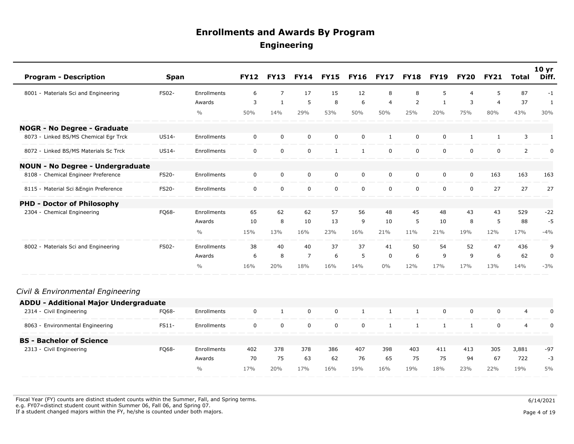| <b>Program - Description</b>                 | <b>Span</b>  |               | <b>FY12</b> | <b>FY13</b>    | <b>FY14</b>    | <b>FY15</b>  | <b>FY16</b>  | <b>FY17</b>    | <b>FY18</b>  | <b>FY19</b>  | <b>FY20</b>    | <b>FY21</b>    | Total          | 10 <sub>yr</sub><br>Diff. |
|----------------------------------------------|--------------|---------------|-------------|----------------|----------------|--------------|--------------|----------------|--------------|--------------|----------------|----------------|----------------|---------------------------|
| 8001 - Materials Sci and Engineering         | FS02-        | Enrollments   | 6           | $\overline{7}$ | 17             | 15           | 12           | 8              | 8            | 5            | $\overline{4}$ | 5              | 87             | $-1$                      |
|                                              |              | Awards        | 3           | $\mathbf{1}$   | 5              | 8            | 6            | $\overline{4}$ | 2            | $\mathbf{1}$ | 3              | $\overline{4}$ | 37             | $\mathbf{1}$              |
|                                              |              | $\frac{0}{0}$ | 50%         | 14%            | 29%            | 53%          | 50%          | 50%            | 25%          | 20%          | 75%            | 80%            | 43%            | 30%                       |
| <b>NOGR - No Degree - Graduate</b>           |              |               |             |                |                |              |              |                |              |              |                |                |                |                           |
| 8073 - Linked BS/MS Chemical Egr Trck        | US14-        | Enrollments   | $\mathbf 0$ | 0              | $\mathbf 0$    | $\mathbf 0$  | $\mathbf 0$  | $\mathbf{1}$   | $\mathbf 0$  | $\mathbf 0$  | $\mathbf{1}$   | $\mathbf{1}$   | 3              | $\mathbf{1}$              |
| 8072 - Linked BS/MS Materials Sc Trck        | US14-        | Enrollments   | $\mathbf 0$ | $\mathbf 0$    | $\mathbf 0$    | $\mathbf{1}$ | $\mathbf{1}$ | $\mathbf 0$    | $\mathbf 0$  | $\mathbf 0$  | $\mathbf 0$    | $\mathbf 0$    | $\overline{2}$ | 0                         |
| <b>NOUN - No Degree - Undergraduate</b>      |              |               |             |                |                |              |              |                |              |              |                |                |                |                           |
| 8108 - Chemical Engineer Preference          | <b>FS20-</b> | Enrollments   | $\mathbf 0$ | $\mathbf 0$    | $\mathbf 0$    | $\mathbf 0$  | $\mathbf 0$  | $\mathbf 0$    | $\mathbf 0$  | 0            | $\mathbf 0$    | 163            | 163            | 163                       |
| 8115 - Material Sci & Engin Preference       | <b>FS20-</b> | Enrollments   | $\mathbf 0$ | $\mathbf 0$    | $\mathbf 0$    | $\mathbf 0$  | $\mathbf 0$  | $\mathbf 0$    | $\mathbf 0$  | $\mathbf 0$  | $\mathbf 0$    | 27             | 27             | 27                        |
| <b>PHD - Doctor of Philosophy</b>            |              |               |             |                |                |              |              |                |              |              |                |                |                |                           |
| 2304 - Chemical Engineering                  | FQ68-        | Enrollments   | 65          | 62             | 62             | 57           | 56           | 48             | 45           | 48           | 43             | 43             | 529            | $-22$                     |
|                                              |              | Awards        | 10          | 8              | 10             | 13           | 9            | 10             | 5            | 10           | 8              | 5              | 88             | $-5$                      |
|                                              |              | $\frac{0}{0}$ | 15%         | 13%            | 16%            | 23%          | 16%          | 21%            | 11%          | 21%          | 19%            | 12%            | 17%            | $-4%$                     |
| 8002 - Materials Sci and Engineering         | FS02-        | Enrollments   | 38          | 40             | 40             | 37           | 37           | 41             | 50           | 54           | 52             | 47             | 436            | 9                         |
|                                              |              | Awards        | 6           | 8              | $\overline{7}$ | 6            | 5            | $\mathbf 0$    | 6            | 9            | 9              | 6              | 62             | $\mathbf 0$               |
|                                              |              | $\frac{0}{0}$ | 16%         | 20%            | 18%            | 16%          | 14%          | $0\%$          | 12%          | 17%          | 17%            | 13%            | 14%            | $-3%$                     |
| Civil & Environmental Engineering            |              |               |             |                |                |              |              |                |              |              |                |                |                |                           |
| <b>ADDU - Additional Major Undergraduate</b> |              |               |             |                |                |              |              |                |              |              |                |                |                |                           |
| 2314 - Civil Engineering                     | FQ68-        | Enrollments   | $\mathbf 0$ | $\mathbf{1}$   | $\mathbf 0$    | $\mathbf 0$  | $\mathbf{1}$ | $\mathbf{1}$   | $\mathbf{1}$ | 0            | $\mathbf 0$    | $\mathbf 0$    | $\overline{4}$ | 0                         |
| 8063 - Environmental Engineering             | FS11-        | Enrollments   | $\mathbf 0$ | $\pmb{0}$      | $\pmb{0}$      | 0            | 0            | $\mathbf{1}$   | $\mathbf{1}$ | $\mathbf{1}$ | $\mathbf{1}$   | $\mathbf 0$    | 4              | 0                         |
| <b>BS - Bachelor of Science</b>              |              |               |             |                |                |              |              |                |              |              |                |                |                |                           |
| 2313 - Civil Engineering                     | FQ68-        | Enrollments   | 402         | 378            | 378            | 386          | 407          | 398            | 403          | 411          | 413            | 305            | 3,881          | $-97$                     |
|                                              |              | Awards        | 70          | 75             | 63             | 62           | 76           | 65             | 75           | 75           | 94             | 67             | 722            | $-3$                      |
|                                              |              | $\frac{0}{0}$ | 17%         | 20%            | 17%            | 16%          | 19%          | 16%            | 19%          | 18%          | 23%            | 22%            | 19%            | 5%                        |

Fiscal Year (FY) counts are distinct student counts within the Summer, Fall, and Spring terms.  $6/14/2021$  e.g. FY07=distinct student count within Summer 06, Fall 06, and Spring 07. If a student changed majors within the FY, he/she is counted under both majors. Page 4 of 19

 $\sim$ 

Page 4 of 19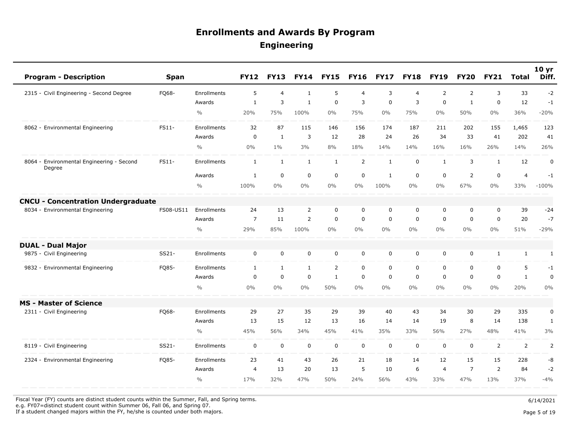| <b>Program - Description</b>                        | <b>Span</b> |               | <b>FY12</b>    | <b>FY13</b>    | <b>FY14</b>    | <b>FY15</b>    | <b>FY16</b>    | <b>FY17</b>  | <b>FY18</b>    | <b>FY19</b>    | <b>FY20</b>    | <b>FY21</b>  | <b>Total</b>   | 10 <sub>yr</sub><br>Diff. |
|-----------------------------------------------------|-------------|---------------|----------------|----------------|----------------|----------------|----------------|--------------|----------------|----------------|----------------|--------------|----------------|---------------------------|
| 2315 - Civil Engineering - Second Degree            | FQ68-       | Enrollments   | 5              | $\overline{4}$ | $\mathbf{1}$   | 5              | $\overline{4}$ | 3            | $\overline{4}$ | $\overline{2}$ | $\overline{2}$ | 3            | 33             | $-2$                      |
|                                                     |             | Awards        | $\mathbf{1}$   | 3              | $\mathbf{1}$   | $\mathbf 0$    | 3              | $\mathbf 0$  | 3              | $\mathbf 0$    | $\mathbf{1}$   | $\mathbf 0$  | 12             | $-1$                      |
|                                                     |             | $\frac{0}{0}$ | 20%            | 75%            | 100%           | $0\%$          | 75%            | $0\%$        | 75%            | $0\%$          | 50%            | $0\%$        | 36%            | $-20%$                    |
| 8062 - Environmental Engineering                    | FS11-       | Enrollments   | 32             | 87             | 115            | 146            | 156            | 174          | 187            | 211            | 202            | 155          | 1,465          | 123                       |
|                                                     |             | Awards        | $\mathbf 0$    | $\mathbf{1}$   | 3              | 12             | 28             | 24           | 26             | 34             | 33             | 41           | 202            | 41                        |
|                                                     |             | $\frac{0}{0}$ | 0%             | $1\%$          | 3%             | 8%             | 18%            | 14%          | 14%            | 16%            | 16%            | 26%          | 14%            | 26%                       |
| 8064 - Environmental Engineering - Second<br>Degree | FS11-       | Enrollments   | $\mathbf{1}$   | $\mathbf{1}$   | $\mathbf{1}$   | $\mathbf{1}$   | $\overline{2}$ | $\mathbf{1}$ | $\mathbf 0$    | $\mathbf{1}$   | 3              | $\mathbf{1}$ | 12             | $\mathbf 0$               |
|                                                     |             | Awards        | 1              | $\mathbf 0$    | $\mathbf 0$    | $\mathbf 0$    | $\mathbf 0$    | $\mathbf{1}$ | $\mathbf 0$    | $\mathbf 0$    | $\overline{2}$ | $\mathbf 0$  | $\overline{4}$ | $-1$                      |
|                                                     |             | $\frac{0}{0}$ | 100%           | $0\%$          | $0\%$          | $0\%$          | 0%             | 100%         | $0\%$          | $0\%$          | 67%            | $0\%$        | 33%            | $-100%$                   |
| <b>CNCU - Concentration Undergraduate</b>           |             |               |                |                |                |                |                |              |                |                |                |              |                |                           |
| 8034 - Environmental Engineering                    | FS08-US11   | Enrollments   | 24             | 13             | $\overline{2}$ | $\mathbf 0$    | $\mathbf 0$    | $\mathbf 0$  | $\mathbf 0$    | $\mathbf 0$    | 0              | $\mathbf 0$  | 39             | $-24$                     |
|                                                     |             | Awards        | $\overline{7}$ | 11             | $\overline{2}$ | $\mathbf 0$    | $\mathbf 0$    | $\mathbf 0$  | $\mathbf 0$    | $\mathbf{0}$   | $\Omega$       | $\mathbf 0$  | 20             | $-7$                      |
|                                                     |             | $\frac{0}{0}$ | 29%            | 85%            | 100%           | $0\%$          | $0\%$          | $0\%$        | $0\%$          | $0\%$          | $0\%$          | $0\%$        | 51%            | $-29%$                    |
| <b>DUAL - Dual Major</b>                            |             |               |                |                |                |                |                |              |                |                |                |              |                |                           |
| 9875 - Civil Engineering                            | SS21-       | Enrollments   | 0              | 0              | $\mathsf 0$    | $\mathbf 0$    | $\mathbf 0$    | $\mathbf 0$  | $\mathbf 0$    | $\mathbf 0$    | 0              | 1            | $\mathbf{1}$   | $\mathbf{1}$              |
| 9832 - Environmental Engineering                    | FQ85-       | Enrollments   | $\mathbf{1}$   | 1              | $\mathbf{1}$   | $\overline{2}$ | $\mathbf 0$    | $\mathbf 0$  | $\mathbf 0$    | $\mathbf 0$    | 0              | $\mathbf 0$  | 5              | $-1$                      |
|                                                     |             | Awards        | $\mathbf 0$    | $\mathbf 0$    | $\mathbf 0$    | $\mathbf{1}$   | $\mathbf 0$    | $\mathbf 0$  | $\mathbf 0$    | $\mathbf 0$    | 0              | $\mathbf 0$  | $\mathbf{1}$   | 0                         |
|                                                     |             | $\frac{0}{0}$ | 0%             | $0\%$          | $0\%$          | 50%            | $0\%$          | $0\%$        | $0\%$          | $0\%$          | $0\%$          | $0\%$        | 20%            | $0\%$                     |
| <b>MS - Master of Science</b>                       |             |               |                |                |                |                |                |              |                |                |                |              |                |                           |
| 2311 - Civil Engineering                            | FQ68-       | Enrollments   | 29             | 27             | 35             | 29             | 39             | 40           | 43             | 34             | 30             | 29           | 335            | 0                         |
|                                                     |             | Awards        | 13             | 15             | 12             | 13             | 16             | 14           | 14             | 19             | 8              | 14           | 138            | $\mathbf{1}$              |
|                                                     |             | $\frac{0}{0}$ | 45%            | 56%            | 34%            | 45%            | 41%            | 35%          | 33%            | 56%            | 27%            | 48%          | 41%            | 3%                        |
| 8119 - Civil Engineering                            | SS21-       | Enrollments   | $\mathbf 0$    | $\mathbf 0$    | $\mathbf 0$    | $\mathbf 0$    | $\mathbf 0$    | $\mathbf 0$  | $\mathbf 0$    | $\mathbf 0$    | $\mathbf 0$    | 2            | $\overline{2}$ | 2                         |
| 2324 - Environmental Engineering                    | FQ85-       | Enrollments   | 23             | 41             | 43             | 26             | 21             | 18           | 14             | 12             | 15             | 15           | 228            | -8                        |
|                                                     |             | Awards        | $\overline{4}$ | 13             | 20             | 13             | 5              | 10           | 6              | $\overline{4}$ | $\overline{7}$ | 2            | 84             | $-2$                      |
|                                                     |             | $\frac{0}{0}$ | 17%            | 32%            | 47%            | 50%            | 24%            | 56%          | 43%            | 33%            | 47%            | 13%          | 37%            | $-4%$                     |

Fiscal Year (FY) counts are distinct student counts within the Summer, Fall, and Spring terms.  $6/14/2021$ 

e.g. FY07=distinct student count within Summer 06, Fall 06, and Spring 07.

If a student changed majors within the FY, he/she is counted under both majors. Page 5 of 19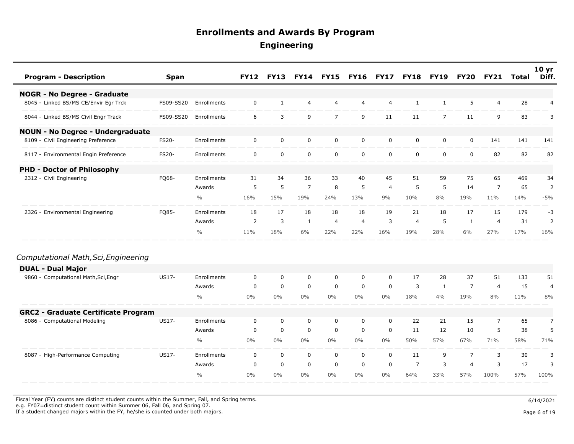| <b>Program - Description</b>               | <b>Span</b>  |               | <b>FY12</b> | <b>FY13</b>    | <b>FY14</b>    | <b>FY15</b>    | <b>FY16</b>    | <b>FY17</b>    | <b>FY18</b>    | <b>FY19</b>    | <b>FY20</b>    | <b>FY21</b>    | Total | 10 <sub>yr</sub><br>Diff. |
|--------------------------------------------|--------------|---------------|-------------|----------------|----------------|----------------|----------------|----------------|----------------|----------------|----------------|----------------|-------|---------------------------|
| <b>NOGR - No Degree - Graduate</b>         |              |               |             |                |                |                |                |                |                |                |                |                |       |                           |
| 8045 - Linked BS/MS CE/Envir Egr Trck      | FS09-SS20    | Enrollments   | $\mathbf 0$ | 1              | $\overline{4}$ | 4              | $\overline{4}$ | $\overline{4}$ | $\mathbf{1}$   | $\mathbf{1}$   | 5              | $\overline{4}$ | 28    | 4                         |
| 8044 - Linked BS/MS Civil Engr Track       | FS09-SS20    | Enrollments   | 6           | $\overline{3}$ | 9              | $\overline{7}$ | 9              | 11             | 11             | $\overline{7}$ | 11             | 9              | 83    | 3                         |
| <b>NOUN - No Degree - Undergraduate</b>    |              |               |             |                |                |                |                |                |                |                |                |                |       |                           |
| 8109 - Civil Engineering Preference        | <b>FS20-</b> | Enrollments   | $\mathbf 0$ | $\mathbf 0$    | $\mathbf 0$    | $\mathbf 0$    | $\mathbf 0$    | 0              | $\mathbf 0$    | $\mathbf 0$    | 0              | 141            | 141   | 141                       |
| 8117 - Environmental Engin Preference      | <b>FS20-</b> | Enrollments   | $\mathbf 0$ | $\mathbf 0$    | $\mathbf 0$    | $\mathbf 0$    | $\mathsf{O}$   | $\mathbf 0$    | $\mathbf 0$    | $\mathbf 0$    | $\mathbf 0$    | 82             | 82    | 82                        |
| <b>PHD - Doctor of Philosophy</b>          |              |               |             |                |                |                |                |                |                |                |                |                |       |                           |
| 2312 - Civil Engineering                   | FQ68-        | Enrollments   | 31          | 34             | 36             | 33             | 40             | 45             | 51             | 59             | 75             | 65             | 469   | 34                        |
|                                            |              | Awards        | 5           | 5              | $\overline{7}$ | 8              | 5              | $\overline{a}$ | 5              | 5              | 14             | $\overline{7}$ | 65    | $\overline{2}$            |
|                                            |              | $\frac{0}{0}$ | 16%         | 15%            | 19%            | 24%            | 13%            | 9%             | 10%            | 8%             | 19%            | 11%            | 14%   | $-5%$                     |
| 2326 - Environmental Engineering           | FQ85-        | Enrollments   | 18          | 17             | 18             | 18             | 18             | 19             | 21             | 18             | 17             | 15             | 179   | $-3$                      |
|                                            |              | Awards        | 2           | 3              | $\mathbf{1}$   | $\overline{4}$ | $\overline{4}$ | 3              | $\overline{4}$ | 5              | $\mathbf{1}$   | $\overline{4}$ | 31    | $\overline{2}$            |
|                                            |              | $\frac{0}{0}$ | 11%         | 18%            | 6%             | 22%            | 22%            | 16%            | 19%            | 28%            | 6%             | 27%            | 17%   | 16%                       |
| Computational Math, Sci, Engineering       |              |               |             |                |                |                |                |                |                |                |                |                |       |                           |
| <b>DUAL - Dual Major</b>                   |              |               |             |                |                |                |                |                |                |                |                |                |       |                           |
| 9860 - Computational Math, Sci, Engr       | US17-        | Enrollments   | 0           | $\mathbf 0$    | $\mathbf 0$    | 0              | $\mathbf 0$    | $\mathbf 0$    | 17             | 28             | 37             | 51             | 133   | 51                        |
|                                            |              | Awards        | $\mathbf 0$ | $\mathbf 0$    | $\mathbf 0$    | $\mathbf 0$    | $\mathbf 0$    | $\mathbf 0$    | 3              | 1              | $\overline{7}$ | $\overline{4}$ | 15    | 4                         |
|                                            |              | $\frac{0}{0}$ | $0\%$       | $0\%$          | $0\%$          | $0\%$          | $0\%$          | $0\%$          | 18%            | 4%             | 19%            | 8%             | 11%   | 8%                        |
| <b>GRC2 - Graduate Certificate Program</b> |              |               |             |                |                |                |                |                |                |                |                |                |       |                           |
| 8086 - Computational Modeling              | <b>US17-</b> | Enrollments   | $\mathbf 0$ | $\mathbf 0$    | $\mathbf 0$    | $\mathbf 0$    | 0              | $\mathbf 0$    | 22             | 21             | 15             | $\overline{7}$ | 65    | $\overline{7}$            |
|                                            |              | Awards        | $\mathbf 0$ | $\mathbf 0$    | $\mathbf 0$    | $\mathbf 0$    | $\mathbf 0$    | $\mathbf 0$    | 11             | 12             | 10             | 5              | 38    | 5                         |
|                                            |              | $\frac{0}{0}$ | $0\%$       | $0\%$          | $0\%$          | $0\%$          | $0\%$          | $0\%$          | 50%            | 57%            | 67%            | 71%            | 58%   | 71%                       |
| 8087 - High-Performance Computing          | US17-        | Enrollments   | $\mathbf 0$ | $\mathbf 0$    | $\mathbf 0$    | $\mathbf 0$    | $\mathbf 0$    | $\mathbf 0$    | 11             | 9              | $\overline{7}$ | 3              | 30    | 3                         |
|                                            |              | Awards        | $\mathbf 0$ | $\mathbf 0$    | $\mathbf 0$    | $\mathbf 0$    | $\mathbf 0$    | $\mathbf 0$    | $\overline{7}$ | 3              | $\overline{4}$ | 3              | 17    | 3                         |
|                                            |              | $\frac{0}{0}$ | 0%          | $0\%$          | $0\%$          | $0\%$          | $0\%$          | $0\%$          | 64%            | 33%            | 57%            | 100%           | 57%   | 100%                      |

Fiscal Year (FY) counts are distinct student counts within the Summer, Fall, and Spring terms.  $6/14/2021$ 

e.g. FY07=distinct student count within Summer 06, Fall 06, and Spring 07.

If a student changed majors within the FY, he/she is counted under both majors. Page 6 of 19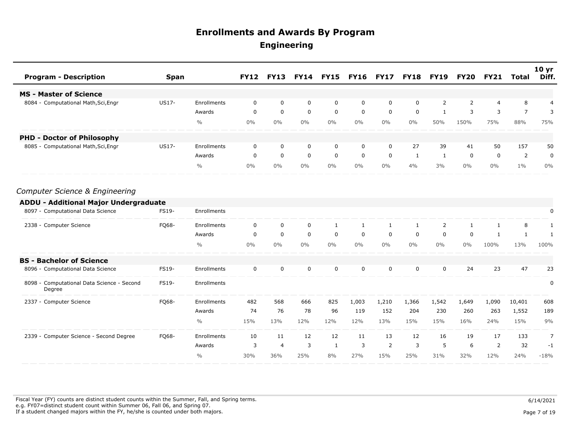| <b>Program - Description</b>                         | <b>Span</b>  |               | <b>FY12</b> | <b>FY13</b>    | <b>FY14</b> | <b>FY15</b>  | <b>FY16</b>  | <b>FY17</b> | <b>FY18</b> | <b>FY19</b>    | <b>FY20</b>    | <b>FY21</b> | <b>Total</b>   | 10 <sub>yr</sub><br>Diff. |
|------------------------------------------------------|--------------|---------------|-------------|----------------|-------------|--------------|--------------|-------------|-------------|----------------|----------------|-------------|----------------|---------------------------|
| <b>MS - Master of Science</b>                        |              |               |             |                |             |              |              |             |             |                |                |             |                |                           |
| 8084 - Computational Math, Sci, Engr                 | US17-        | Enrollments   | 0           | $\mathbf 0$    | 0           | $\mathbf 0$  | 0            | $\mathbf 0$ | 0           | $\overline{2}$ | $\overline{2}$ | 4           | 8              | 4                         |
|                                                      |              | Awards        | $\mathbf 0$ | $\mathbf 0$    | $\pmb{0}$   | $\mathbf 0$  | $\mathbf 0$  | $\mathbf 0$ | 0           | $\mathbf{1}$   | 3              | 3           | $\overline{7}$ | 3                         |
|                                                      |              | $\frac{0}{0}$ | 0%          | $0\%$          | 0%          | $0\%$        | $0\%$        | $0\%$       | $0\%$       | 50%            | 150%           | 75%         | 88%            | 75%                       |
| <b>PHD - Doctor of Philosophy</b>                    |              |               |             |                |             |              |              |             |             |                |                |             |                |                           |
| 8085 - Computational Math, Sci, Engr                 | <b>US17-</b> | Enrollments   | 0           | 0              | 0           | 0            | 0            | $\mathbf 0$ | 27          | 39             | 41             | 50          | 157            | 50                        |
|                                                      |              | Awards        | $\Omega$    | $\mathbf 0$    | 0           | $\mathbf 0$  | $\mathbf 0$  | $\mathbf 0$ | 1           | $\mathbf{1}$   | 0              | $\mathbf 0$ | $\overline{2}$ | 0                         |
|                                                      |              | $\frac{0}{0}$ | $0\%$       | $0\%$          | 0%          | $0\%$        | $0\%$        | $0\%$       | 4%          | 3%             | $0\%$          | $0\%$       | $1\%$          | $0\%$                     |
| Computer Science & Engineering                       |              |               |             |                |             |              |              |             |             |                |                |             |                |                           |
| <b>ADDU - Additional Major Undergraduate</b>         |              |               |             |                |             |              |              |             |             |                |                |             |                |                           |
| 8097 - Computational Data Science                    | FS19-        | Enrollments   |             |                |             |              |              |             |             |                |                |             |                | $\pmb{0}$                 |
| 2338 - Computer Science                              | FQ68-        | Enrollments   | 0           | 0              | 0           | 1            | $\mathbf{1}$ | 1           | 1           | $\overline{2}$ | $\mathbf{1}$   | 1           | 8              | 1                         |
|                                                      |              | Awards        | 0           | $\mathbf 0$    | $\mathbf 0$ | $\mathbf 0$  | $\mathbf 0$  | 0           | $\mathbf 0$ | $\Omega$       | 0              | 1           | $\mathbf{1}$   | 1                         |
|                                                      |              | $\frac{0}{0}$ | 0%          | $0\%$          | 0%          | 0%           | $0\%$        | 0%          | $0\%$       | $0\%$          | 0%             | 100%        | 13%            | 100%                      |
| <b>BS - Bachelor of Science</b>                      |              |               |             |                |             |              |              |             |             |                |                |             |                |                           |
| 8096 - Computational Data Science                    | FS19-        | Enrollments   | 0           | $\mathbf 0$    | $\mathbf 0$ | $\mathbf 0$  | 0            | $\mathbf 0$ | 0           | $\mathbf 0$    | 24             | 23          | 47             | 23                        |
| 8098 - Computational Data Science - Second<br>Degree | FS19-        | Enrollments   |             |                |             |              |              |             |             |                |                |             |                | 0                         |
| 2337 - Computer Science                              | FQ68-        | Enrollments   | 482         | 568            | 666         | 825          | 1,003        | 1,210       | 1,366       | 1,542          | 1,649          | 1,090       | 10,401         | 608                       |
|                                                      |              | Awards        | 74          | 76             | 78          | 96           | 119          | 152         | 204         | 230            | 260            | 263         | 1,552          | 189                       |
|                                                      |              | $\frac{0}{0}$ | 15%         | 13%            | 12%         | 12%          | 12%          | 13%         | 15%         | 15%            | 16%            | 24%         | 15%            | 9%                        |
| 2339 - Computer Science - Second Degree              | FQ68-        | Enrollments   | 10          | 11             | 12          | 12           | 11           | 13          | 12          | 16             | 19             | 17          | 133            | $\overline{7}$            |
|                                                      |              | Awards        | 3           | $\overline{4}$ | 3           | $\mathbf{1}$ | 3            | 2           | 3           | 5              | 6              | 2           | 32             | $-1$                      |
|                                                      |              | $\frac{0}{0}$ | 30%         | 36%            | 25%         | 8%           | 27%          | 15%         | 25%         | 31%            | 32%            | 12%         | 24%            | $-18%$                    |

Fiscal Year (FY) counts are distinct student counts within the Summer, Fall, and Spring terms.  $6/14/2021$  e.g. FY07=distinct student count within Summer 06, Fall 06, and Spring 07. If a student changed majors within the FY, he/she is counted under both majors. Page 7 of 19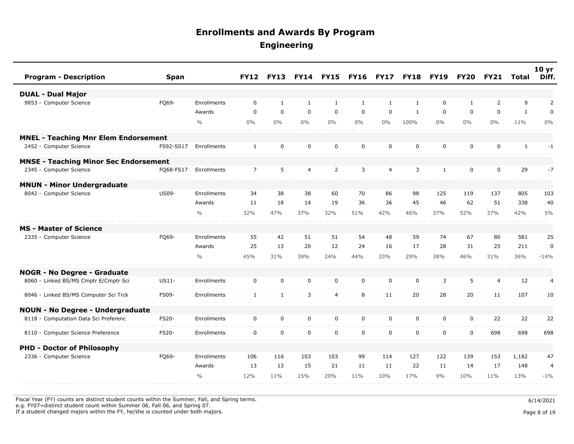| <b>Program - Description</b>                 | <b>Span</b>  |               | <b>FY12</b>    | <b>FY13</b>  | <b>FY14</b>  | <b>FY15</b>    | <b>FY16</b>  | <b>FY17</b>    | <b>FY18</b>  | <b>FY19</b>  | <b>FY20</b>  | <b>FY21</b>    | <b>Total</b> | 10 <sub>yr</sub><br>Diff. |
|----------------------------------------------|--------------|---------------|----------------|--------------|--------------|----------------|--------------|----------------|--------------|--------------|--------------|----------------|--------------|---------------------------|
| <b>DUAL - Dual Major</b>                     |              |               |                |              |              |                |              |                |              |              |              |                |              |                           |
| 9853 - Computer Science                      | FQ69-        | Enrollments   | $\mathbf 0$    | $\mathbf{1}$ | $\mathbf{1}$ | 1              | $\mathbf{1}$ | $\mathbf{1}$   | $\mathbf{1}$ | $\Omega$     | $\mathbf{1}$ | $\overline{2}$ | 9            | 2                         |
|                                              |              | Awards        | $\Omega$       | $\Omega$     | $\Omega$     | $\Omega$       | $\Omega$     | $\Omega$       | $\mathbf{1}$ | $\Omega$     | $\Omega$     | $\mathbf{0}$   | $\mathbf{1}$ | $\mathbf 0$               |
|                                              |              | $\frac{0}{0}$ | $0\%$          | $0\%$        | $0\%$        | $0\%$          | $0\%$        | $0\%$          | 100%         | $0\%$        | $0\%$        | $0\%$          | 11%          | $0\%$                     |
| <b>MNEL - Teaching Mnr Elem Endorsement</b>  |              |               |                |              |              |                |              |                |              |              |              |                |              |                           |
| 2452 - Computer Science                      | FS92-SS17    | Enrollments   | $\mathbf{1}$   | $\mathbf 0$  | $\mathbf 0$  | $\mathbf 0$    | $\mathbf 0$  | $\mathbf 0$    | 0            | 0            | 0            | $\mathbf 0$    | $\mathbf{1}$ | $-1$                      |
| <b>MNSE - Teaching Minor Sec Endorsement</b> |              |               |                |              |              |                |              |                |              |              |              |                |              |                           |
| 2345 - Computer Science                      | FQ68-FS17    | Enrollments   | $\overline{7}$ | 5            | 4            | $\overline{2}$ | 3            | $\overline{4}$ | 3            | $\mathbf{1}$ | 0            | $\mathbf 0$    | 29           | $-7$                      |
| <b>MNUN - Minor Undergraduate</b>            |              |               |                |              |              |                |              |                |              |              |              |                |              |                           |
| 8042 - Computer Science                      | <b>US09-</b> | Enrollments   | 34             | 38           | 38           | 60             | 70           | 86             | 98           | 125          | 119          | 137            | 805          | 103                       |
|                                              |              | Awards        | 11             | 18           | 14           | 19             | 36           | 36             | 45           | 46           | 62           | 51             | 338          | 40                        |
|                                              |              | $\frac{0}{0}$ | 32%            | 47%          | 37%          | 32%            | 51%          | 42%            | 46%          | 37%          | 52%          | 37%            | 42%          | 5%                        |
| <b>MS - Master of Science</b>                |              |               |                |              |              |                |              |                |              |              |              |                |              |                           |
| 2335 - Computer Science                      | FQ69-        | Enrollments   | 55             | 42           | 51           | 51             | 54           | 48             | 59           | 74           | 67           | 80             | 581          | 25                        |
|                                              |              | Awards        | 25             | 13           | 20           | 12             | 24           | 16             | 17           | 28           | 31           | 25             | 211          | $\mathbf 0$               |
|                                              |              | $\frac{0}{0}$ | 45%            | 31%          | 39%          | 24%            | 44%          | 33%            | 29%          | 38%          | 46%          | 31%            | 36%          | $-14%$                    |
| NOGR - No Degree - Graduate                  |              |               |                |              |              |                |              |                |              |              |              |                |              |                           |
| 8060 - Linked BS/MS Cmptr E/Cmptr Sci        | US11-        | Enrollments   | $\mathbf 0$    | $\mathbf 0$  | $\mathbf 0$  | $\mathbf 0$    | $\mathbf 0$  | $\mathbf 0$    | 0            | 3            | 5            | $\overline{4}$ | 12           | 4                         |
| 8046 - Linked BS/MS Computer Sci Trck        | <b>FS09-</b> | Enrollments   | $\mathbf{1}$   | $\mathbf{1}$ | 3            | $\overline{4}$ | 8            | 11             | 20           | 28           | 20           | 11             | 107          | 10                        |
| <b>NOUN - No Degree - Undergraduate</b>      |              |               |                |              |              |                |              |                |              |              |              |                |              |                           |
| 8118 - Computation Data Sci Preferenc        | FS20-        | Enrollments   | $\mathbf 0$    | $\mathbf 0$  | $\mathbf 0$  | $\mathbf 0$    | $\mathbf 0$  | $\mathbf 0$    | $\mathbf 0$  | 0            | 0            | 22             | 22           | 22                        |
| 8110 - Computer Science Preference           | <b>FS20-</b> | Enrollments   | $\mathbf{0}$   | $\mathbf 0$  | $\mathbf 0$  | $\mathbf 0$    | $\mathbf 0$  | $\Omega$       | $\mathbf 0$  | $\mathbf 0$  | 0            | 698            | 698          | 698                       |
| <b>PHD - Doctor of Philosophy</b>            |              |               |                |              |              |                |              |                |              |              |              |                |              |                           |
| 2336 - Computer Science                      | FQ69-        | Enrollments   | 106            | 116          | 103          | 103            | 99           | 114            | 127          | 122          | 139          | 153            | 1,182        | 47                        |
|                                              |              | Awards        | 13             | 13           | 15           | 21             | 11           | 11             | 22           | 11           | 14           | 17             | 148          | $\overline{4}$            |
|                                              |              | $\frac{0}{0}$ | 12%            | 11%          | 15%          | 20%            | 11%          | 10%            | 17%          | 9%           | 10%          | 11%            | 13%          | $-1\%$                    |

Fiscal Year (FY) counts are distinct student counts within the Summer, Fall, and Spring terms.  $6/14/2021$ 

e.g. FY07=distinct student count within Summer 06, Fall 06, and Spring 07.

If a student changed majors within the FY, he/she is counted under both majors. Page 8 of 19

Page 8 of 19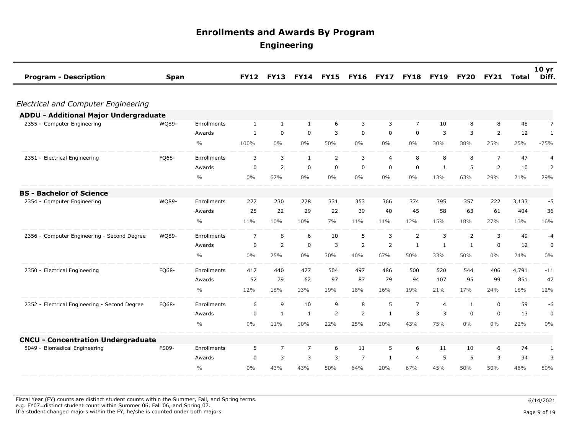| <b>Program - Description</b>                  | <b>Span</b> |               | <b>FY12</b>    | <b>FY13</b>    | <b>FY14</b>    | <b>FY15</b>    | <b>FY16</b>    | <b>FY17</b>    | <b>FY18</b>    | <b>FY19</b>    | <b>FY20</b>  | <b>FY21</b>    | <b>Total</b> | 10 yr<br>Diff. |
|-----------------------------------------------|-------------|---------------|----------------|----------------|----------------|----------------|----------------|----------------|----------------|----------------|--------------|----------------|--------------|----------------|
|                                               |             |               |                |                |                |                |                |                |                |                |              |                |              |                |
| <b>Electrical and Computer Engineering</b>    |             |               |                |                |                |                |                |                |                |                |              |                |              |                |
| ADDU - Additional Major Undergraduate         |             |               |                |                |                |                |                |                |                |                |              |                |              |                |
| 2355 - Computer Engineering                   | WQ89-       | Enrollments   | $\mathbf{1}$   | -1             | $\mathbf{1}$   | 6              | 3              | 3              | $\overline{7}$ | 10             | 8            | 8              | 48           | $\overline{7}$ |
|                                               |             | Awards        | $\mathbf{1}$   | $\mathbf 0$    | $\mathbf 0$    | 3              | 0              | $\mathbf 0$    | 0              | 3              | 3            | $\overline{2}$ | 12           | $\mathbf{1}$   |
|                                               |             | $\frac{0}{0}$ | 100%           | $0\%$          | $0\%$          | 50%            | $0\%$          | $0\%$          | 0%             | 30%            | 38%          | 25%            | 25%          | $-75%$         |
| 2351 - Electrical Engineering                 | FQ68-       | Enrollments   | 3              | 3              | $\mathbf{1}$   | $\overline{2}$ | 3              | $\overline{4}$ | 8              | 8              | 8            | $\overline{7}$ | 47           | $\overline{4}$ |
|                                               |             | Awards        | $\Omega$       | $\overline{2}$ | $\Omega$       | $\Omega$       | $\Omega$       | $\mathbf 0$    | $\Omega$       | $\mathbf{1}$   | 5            | $\overline{2}$ | 10           | 2              |
|                                               |             | $\frac{0}{0}$ | 0%             | 67%            | $0\%$          | $0\%$          | 0%             | $0\%$          | 0%             | 13%            | 63%          | 29%            | 21%          | 29%            |
| <b>BS - Bachelor of Science</b>               |             |               |                |                |                |                |                |                |                |                |              |                |              |                |
| 2354 - Computer Engineering                   | WQ89-       | Enrollments   | 227            | 230            | 278            | 331            | 353            | 366            | 374            | 395            | 357          | 222            | 3,133        | -5             |
|                                               |             | Awards        | 25             | 22             | 29             | 22             | 39             | 40             | 45             | 58             | 63           | 61             | 404          | 36             |
|                                               |             | $\frac{0}{0}$ | 11%            | 10%            | 10%            | 7%             | 11%            | 11%            | 12%            | 15%            | 18%          | 27%            | 13%          | 16%            |
| 2356 - Computer Engineering - Second Degree   | WQ89-       | Enrollments   | $\overline{7}$ | 8              | 6              | 10             | 5              | 3              | 2              | 3              | 2            | 3              | 49           | $-4$           |
|                                               |             | Awards        | 0              | 2              | $\mathbf 0$    | 3              | 2              | 2              | $\mathbf{1}$   | $\mathbf{1}$   | $\mathbf{1}$ | $\mathbf 0$    | 12           | 0              |
|                                               |             | $\frac{0}{0}$ | 0%             | 25%            | $0\%$          | 30%            | 40%            | 67%            | 50%            | 33%            | 50%          | 0%             | 24%          | 0%             |
| 2350 - Electrical Engineering                 | FQ68-       | Enrollments   | 417            | 440            | 477            | 504            | 497            | 486            | 500            | 520            | 544          | 406            | 4,791        | $-11$          |
|                                               |             | Awards        | 52             | 79             | 62             | 97             | 87             | 79             | 94             | 107            | 95           | 99             | 851          | 47             |
|                                               |             | $\frac{0}{0}$ | 12%            | 18%            | 13%            | 19%            | 18%            | 16%            | 19%            | 21%            | 17%          | 24%            | 18%          | 12%            |
| 2352 - Electrical Engineering - Second Degree | FQ68-       | Enrollments   | 6              | 9              | 10             | 9              | 8              | 5              | $\overline{7}$ | $\overline{4}$ | $\mathbf{1}$ | $\mathbf 0$    | 59           | -6             |
|                                               |             | Awards        | 0              | $\mathbf{1}$   | 1              | $\overline{2}$ | $\overline{2}$ | 1              | 3              | 3              | $\mathbf 0$  | $\mathbf 0$    | 13           | $\pmb{0}$      |
|                                               |             | $\frac{0}{0}$ | 0%             | 11%            | 10%            | 22%            | 25%            | 20%            | 43%            | 75%            | $0\%$        | 0%             | 22%          | 0%             |
| <b>CNCU - Concentration Undergraduate</b>     |             |               |                |                |                |                |                |                |                |                |              |                |              |                |
| 8049 - Biomedical Engineering                 | FS09-       | Enrollments   | 5              | $\overline{7}$ | $\overline{7}$ | 6              | 11             | 5              | 6              | 11             | 10           | 6              | 74           | $\mathbf{1}$   |
|                                               |             | Awards        | $\Omega$       | 3              | 3              | 3              | $\overline{7}$ | $\mathbf{1}$   | 4              | 5              | 5            | 3              | 34           | 3              |
|                                               |             | 0/0           | $0\%$          | 43%            | 43%            | 50%            | 64%            | 20%            | 67%            | 45%            | 50%          | 50%            | 46%          | 50%            |

Fiscal Year (FY) counts are distinct student counts within the Summer, Fall, and Spring terms.  $6/14/2021$  e.g. FY07=distinct student count within Summer 06, Fall 06, and Spring 07. If a student changed majors within the FY, he/she is counted under both majors. Page 9 of 19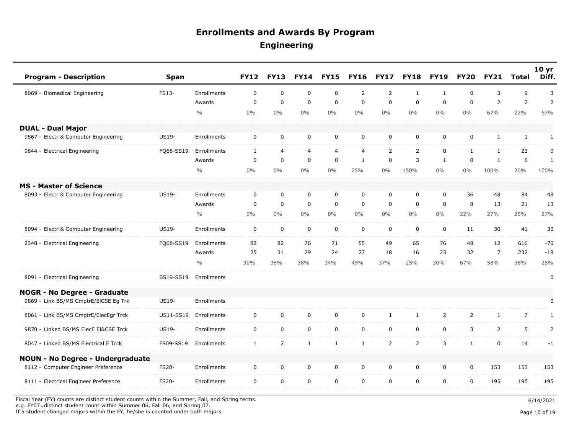| <b>Program - Description</b>            | <b>Span</b>  |               | <b>FY12</b>  | <b>FY13</b>    | <b>FY14</b>      | <b>FY15</b>  | <b>FY16</b>    | <b>FY17</b>    | <b>FY18</b>    | <b>FY19</b>    | <b>FY20</b>    | <b>FY21</b>    | Total          | 10 <sub>yr</sub><br>Diff. |
|-----------------------------------------|--------------|---------------|--------------|----------------|------------------|--------------|----------------|----------------|----------------|----------------|----------------|----------------|----------------|---------------------------|
| 8069 - Biomedical Engineering           | FS13-        | Enrollments   | $\mathbf 0$  | $\mathbf 0$    | $\mathbf 0$      | $\mathbf 0$  | $\overline{2}$ | 2              | 1              | 1              | 0              | 3              | 9              | 3                         |
|                                         |              | Awards        | $\mathbf 0$  | $\mathbf 0$    | $\mathbf 0$      | $\mathbf 0$  | $\mathbf 0$    | $\mathbf 0$    | $\mathbf 0$    | $\mathbf 0$    | 0              | $\overline{2}$ | $\overline{2}$ | $\overline{2}$            |
|                                         |              | $\frac{0}{0}$ | $0\%$        | $0\%$          | $0\%$            | $0\%$        | $0\%$          | $0\%$          | $0\%$          | $0\%$          | $0\%$          | 67%            | 22%            | 67%                       |
| <b>DUAL - Dual Major</b>                |              |               |              |                |                  |              |                |                |                |                |                |                |                |                           |
| 9867 - Electr & Computer Engineering    | <b>US19-</b> | Enrollments   | $\mathbf 0$  | $\mathbf 0$    | $\mathbf 0$      | $\mathbf 0$  | $\mathbf 0$    | $\mathbf 0$    | $\mathbf 0$    | $\mathbf 0$    | 0              | $\mathbf{1}$   | $\mathbf{1}$   | 1                         |
| 9844 - Electrical Engineering           | FQ68-SS19    | Enrollments   | $\mathbf{1}$ | $\overline{4}$ | 4                | 4            | $\overline{4}$ | $\overline{2}$ | $\overline{2}$ | $\mathbf 0$    | $\mathbf{1}$   | $\mathbf{1}$   | 23             | 0                         |
|                                         |              | Awards        | $\mathbf 0$  | $\mathbf 0$    | $\mathbf 0$      | $\mathbf 0$  | $\mathbf{1}$   | $\mathbf 0$    | 3              | $\mathbf{1}$   | $\mathbf 0$    | $\mathbf{1}$   | 6              | $\mathbf{1}$              |
|                                         |              | $\frac{0}{0}$ | $0\%$        | $0\%$          | $0\%$            | $0\%$        | 25%            | $0\%$          | 150%           | $0\%$          | $0\%$          | 100%           | 26%            | 100%                      |
| <b>MS - Master of Science</b>           |              |               |              |                |                  |              |                |                |                |                |                |                |                |                           |
| 8093 - Electr & Computer Engineering    | <b>US19-</b> | Enrollments   | $\mathbf 0$  | $\mathbf 0$    | $\mathbf 0$      | $\mathbf 0$  | $\mathbf 0$    | $\mathbf 0$    | $\mathbf 0$    | $\mathbf 0$    | 36             | 48             | 84             | 48                        |
|                                         |              | Awards        | $\mathbf 0$  | $\mathbf 0$    | $\mathbf 0$      | $\mathbf 0$  | 0              | $\mathbf 0$    | $\mathbf 0$    | $\mathbf 0$    | 8              | 13             | 21             | 13                        |
|                                         |              | $\frac{0}{0}$ | $0\%$        | $0\%$          | $0\%$            | $0\%$        | $0\%$          | $0\%$          | $0\%$          | $0\%$          | 22%            | 27%            | 25%            | 27%                       |
| 8094 - Electr & Computer Engineering    | <b>US19-</b> | Enrollments   | $\mathbf 0$  | $\mathbf 0$    | $\mathbf 0$      | $\mathbf 0$  | $\mathbf 0$    | $\mathbf 0$    | $\mathbf 0$    | $\mathbf 0$    | 11             | 30             | 41             | 30                        |
| 2348 - Electrical Engineering           | FQ68-SS19    | Enrollments   | 82           | 82             | 76               | 71           | 55             | 49             | 65             | 76             | 48             | 12             | 616            | $-70$                     |
|                                         |              | Awards        | 25           | 31             | 29               | 24           | 27             | 18             | 16             | 23             | 32             | $\overline{7}$ | 232            | $-18$                     |
|                                         |              | $\frac{0}{0}$ | 30%          | 38%            | 38%              | 34%          | 49%            | 37%            | 25%            | 30%            | 67%            | 58%            | 38%            | 28%                       |
| 8091 - Electrical Engineering           | SS19-SS19    | Enrollments   |              |                |                  |              |                |                |                |                |                |                |                | 0                         |
| <b>NOGR - No Degree - Graduate</b>      |              |               |              |                |                  |              |                |                |                |                |                |                |                |                           |
| 9869 - Link BS/MS CmptrE/EICSE Eg Trk   | <b>US19-</b> | Enrollments   |              |                |                  |              |                |                |                |                |                |                |                | $\mathbf 0$               |
| 8061 - Link BS/MS CmptrE/ElecEgr Trck   | US11-SS19    | Enrollments   | $\mathbf 0$  | $\mathbf 0$    | $\boldsymbol{0}$ | $\mathbf 0$  | $\mathsf{O}$   | $\mathbf{1}$   | $\mathbf{1}$   | $\overline{2}$ | $\overline{2}$ | $\mathbf{1}$   | $\overline{7}$ | $\mathbf{1}$              |
| 9870 - Linked BS/MS ElecE El&CSE Trck   | US19-        | Enrollments   | $\mathbf 0$  | $\mathbf 0$    | $\mathbf 0$      | $\mathbf 0$  | $\mathbf 0$    | $\mathbf 0$    | $\mathbf 0$    | $\mathbf 0$    | 3              | $\overline{2}$ | 5              | 2                         |
| 8047 - Linked BS/MS Electrical E Trck   | FS09-SS19    | Enrollments   | $\mathbf{1}$ | $\overline{2}$ | $\mathbf{1}$     | $\mathbf{1}$ | $\mathbf{1}$   | $\overline{2}$ | $\overline{2}$ | 3              | $\mathbf{1}$   | $\Omega$       | 14             | $-1$                      |
| <b>NOUN - No Degree - Undergraduate</b> |              |               |              |                |                  |              |                |                |                |                |                |                |                |                           |
| 8112 - Computer Engineer Preference     | <b>FS20-</b> | Enrollments   | $\mathbf 0$  | $\mathbf 0$    | $\mathbf 0$      | $\mathbf 0$  | $\mathbf 0$    | $\mathbf 0$    | $\mathbf 0$    | $\mathbf 0$    | 0              | 153            | 153            | 153                       |
| 8111 - Electrical Engineer Preference   | <b>FS20-</b> | Enrollments   | $\mathbf 0$  | $\mathbf 0$    | $\mathbf 0$      | $\mathbf 0$  | $\mathbf 0$    | $\mathbf 0$    | $\mathbf 0$    | $\mathbf 0$    | 0              | 195            | 195            | 195                       |

Fiscal Year (FY) counts are distinct student counts within the Summer, Fall, and Spring terms.  $6/14/2021$ e.g. FY07=distinct student count within Summer 06, Fall 06, and Spring 07.

If a student changed majors within the FY, he/she is counted under both majors. Page 10 of 19 and the student student changed majors within the FY, he/she is counted under both majors.

Page 10 of 19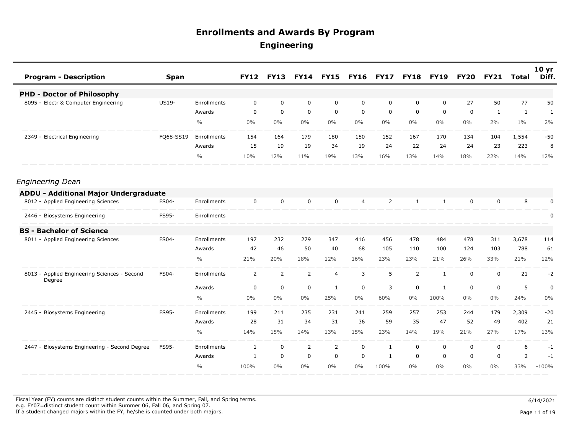| <b>Program - Description</b>                           | <b>Span</b>  |               | <b>FY12</b> | <b>FY13</b>    | <b>FY14</b>    | <b>FY15</b>    | <b>FY16</b>    | <b>FY17</b>    | <b>FY18</b>    | <b>FY19</b>  | <b>FY20</b> | <b>FY21</b> | Total          | 10 <sub>yr</sub><br>Diff. |
|--------------------------------------------------------|--------------|---------------|-------------|----------------|----------------|----------------|----------------|----------------|----------------|--------------|-------------|-------------|----------------|---------------------------|
| <b>PHD - Doctor of Philosophy</b>                      |              |               |             |                |                |                |                |                |                |              |             |             |                |                           |
| 8095 - Electr & Computer Engineering                   | <b>US19-</b> | Enrollments   | $\Omega$    | $\mathbf 0$    | $\mathbf 0$    | $\mathbf 0$    | $\mathbf 0$    | $\mathbf 0$    | $\mathbf 0$    | $\mathbf 0$  | 27          | 50          | 77             | 50                        |
|                                                        |              | Awards        | $\mathbf 0$ | $\mathbf 0$    | 0              | $\mathbf 0$    | 0              | $\mathbf 0$    | 0              | 0            | 0           | 1           | $\mathbf{1}$   | 1                         |
|                                                        |              | $\frac{0}{0}$ | $0\%$       | $0\%$          | $0\%$          | $0\%$          | $0\%$          | $0\%$          | $0\%$          | $0\%$        | $0\%$       | 2%          | $1\%$          | 2%                        |
| 2349 - Electrical Engineering                          | FQ68-SS19    | Enrollments   | 154         | 164            | 179            | 180            | 150            | 152            | 167            | 170          | 134         | 104         | 1,554          | $-50$                     |
|                                                        |              | Awards        | 15          | 19             | 19             | 34             | 19             | 24             | 22             | 24           | 24          | 23          | 223            | 8                         |
|                                                        |              | $\frac{0}{0}$ | 10%         | 12%            | 11%            | 19%            | 13%            | 16%            | 13%            | 14%          | 18%         | 22%         | 14%            | 12%                       |
| <b>Engineering Dean</b>                                |              |               |             |                |                |                |                |                |                |              |             |             |                |                           |
| ADDU - Additional Major Undergraduate                  |              |               |             |                |                |                |                |                |                |              |             |             |                |                           |
| 8012 - Applied Engineering Sciences                    | FS04-        | Enrollments   | $\mathbf 0$ | $\mathbf 0$    | $\mathbf 0$    | $\mathbf 0$    | $\overline{4}$ | $\overline{2}$ | $\mathbf{1}$   | $\mathbf{1}$ | $\mathbf 0$ | $\mathbf 0$ | 8              | $\mathbf 0$               |
| 2446 - Biosystems Engineering                          | FS95-        | Enrollments   |             |                |                |                |                |                |                |              |             |             |                | 0                         |
| <b>BS - Bachelor of Science</b>                        |              |               |             |                |                |                |                |                |                |              |             |             |                |                           |
| 8011 - Applied Engineering Sciences                    | FS04-        | Enrollments   | 197         | 232            | 279            | 347            | 416            | 456            | 478            | 484          | 478         | 311         | 3,678          | 114                       |
|                                                        |              | Awards        | 42          | 46             | 50             | 40             | 68             | 105            | 110            | 100          | 124         | 103         | 788            | 61                        |
|                                                        |              | $\frac{0}{0}$ | 21%         | 20%            | 18%            | 12%            | 16%            | 23%            | 23%            | 21%          | 26%         | 33%         | 21%            | 12%                       |
| 8013 - Applied Engineering Sciences - Second<br>Degree | FS04-        | Enrollments   | 2           | $\overline{2}$ | $\overline{2}$ | $\overline{4}$ | 3              | 5              | $\overline{2}$ | $\mathbf{1}$ | $\mathbf 0$ | $\mathbf 0$ | 21             | $-2$                      |
|                                                        |              | Awards        | 0           | $\mathbf 0$    | $\mathbf 0$    | 1              | 0              | 3              | 0              | 1            | 0           | 0           | 5              | $\mathbf 0$               |
|                                                        |              | $\frac{0}{0}$ | $0\%$       | $0\%$          | $0\%$          | 25%            | $0\%$          | 60%            | $0\%$          | 100%         | $0\%$       | $0\%$       | 24%            | $0\%$                     |
| 2445 - Biosystems Engineering                          | FS95-        | Enrollments   | 199         | 211            | 235            | 231            | 241            | 259            | 257            | 253          | 244         | 179         | 2,309          | $-20$                     |
|                                                        |              | Awards        | 28          | 31             | 34             | 31             | 36             | 59             | 35             | 47           | 52          | 49          | 402            | 21                        |
|                                                        |              | $\frac{0}{0}$ | 14%         | 15%            | 14%            | 13%            | 15%            | 23%            | 14%            | 19%          | 21%         | 27%         | 17%            | 13%                       |
| 2447 - Biosystems Engineering - Second Degree          | <b>FS95-</b> | Enrollments   | 1           | $\mathbf 0$    | $\overline{2}$ | $\overline{2}$ | 0              | 1              | 0              | 0            | 0           | 0           | 6              | $-1$                      |
|                                                        |              | Awards        | 1           | $\mathbf 0$    | $\mathbf 0$    | $\mathbf 0$    | $\mathbf 0$    | 1              | 0              | $\Omega$     | $\Omega$    | 0           | $\overline{2}$ | $-1$                      |
|                                                        |              | $\frac{0}{0}$ | 100%        | $0\%$          | $0\%$          | $0\%$          | $0\%$          | 100%           | $0\%$          | $0\%$        | $0\%$       | $0\%$       | 33%            | $-100%$                   |

Fiscal Year (FY) counts are distinct student counts within the Summer, Fall, and Spring terms.  $6/14/2021$  e.g. FY07=distinct student count within Summer 06, Fall 06, and Spring 07. If a student changed majors within the FY, he/she is counted under both majors. Page 11 of 19 and the student student changed majors within the FY, he/she is counted under both majors.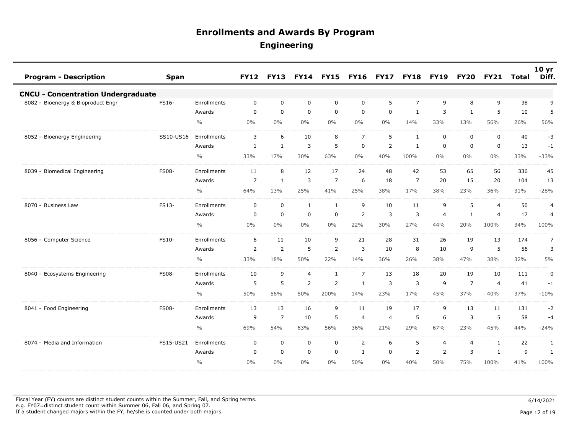| <b>Program - Description</b>              | <b>Span</b>  |               | <b>FY12</b>    | <b>FY13</b>    | <b>FY14</b>    | <b>FY15</b>    | <b>FY16</b>    | <b>FY17</b>    | <b>FY18</b>    | <b>FY19</b>    | <b>FY20</b>    | <b>FY21</b>    | Total | 10 <sub>yr</sub><br>Diff. |
|-------------------------------------------|--------------|---------------|----------------|----------------|----------------|----------------|----------------|----------------|----------------|----------------|----------------|----------------|-------|---------------------------|
| <b>CNCU - Concentration Undergraduate</b> |              |               |                |                |                |                |                |                |                |                |                |                |       |                           |
| 8082 - Bioenergy & Bioproduct Engr        | FS16-        | Enrollments   | 0              | $\mathbf 0$    | $\mathbf 0$    | $\mathbf 0$    | $\mathbf 0$    | 5              | $\overline{7}$ | 9              | 8              | 9              | 38    | 9                         |
|                                           |              | Awards        | $\mathbf 0$    | $\mathbf 0$    | $\mathbf 0$    | $\mathbf 0$    | $\mathbf 0$    | $\mathbf 0$    | 1              | 3              | 1              | 5              | 10    | 5                         |
|                                           |              | $\frac{0}{0}$ | 0%             | $0\%$          | $0\%$          | $0\%$          | $0\%$          | $0\%$          | 14%            | 33%            | 13%            | 56%            | 26%   | 56%                       |
| 8052 - Bioenergy Engineering              | SS10-US16    | Enrollments   | 3              | 6              | 10             | 8              | $\overline{7}$ | 5              | $\mathbf{1}$   | $\mathbf 0$    | 0              | $\mathbf 0$    | 40    | $-3$                      |
|                                           |              | Awards        | 1              | $\mathbf{1}$   | 3              | 5              | $\mathbf 0$    | $\overline{2}$ | $\mathbf{1}$   | $\mathbf 0$    | 0              | $\mathbf 0$    | 13    | $-1$                      |
|                                           |              | $\frac{0}{0}$ | 33%            | 17%            | 30%            | 63%            | $0\%$          | 40%            | 100%           | $0\%$          | $0\%$          | $0\%$          | 33%   | $-33%$                    |
| 8039 - Biomedical Engineering             | <b>FS08-</b> | Enrollments   | 11             | 8              | 12             | 17             | 24             | 48             | 42             | 53             | 65             | 56             | 336   | 45                        |
|                                           |              | Awards        | $\overline{7}$ | $\mathbf{1}$   | 3              | $\overline{7}$ | 6              | 18             | $\overline{7}$ | 20             | 15             | 20             | 104   | 13                        |
|                                           |              | $\frac{0}{0}$ | 64%            | 13%            | 25%            | 41%            | 25%            | 38%            | 17%            | 38%            | 23%            | 36%            | 31%   | $-28%$                    |
| 8070 - Business Law                       | <b>FS13-</b> | Enrollments   | $\mathbf 0$    | $\overline{0}$ | $\mathbf{1}$   | $\mathbf{1}$   | 9              | 10             | 11             | 9              | 5              | $\overline{4}$ | 50    | $\overline{4}$            |
|                                           |              | Awards        | 0              | $\mathbf 0$    | $\mathbf 0$    | 0              | $\overline{2}$ | 3              | 3              | $\overline{4}$ | 1              | $\overline{4}$ | 17    | $\overline{4}$            |
|                                           |              | $\frac{0}{0}$ | 0%             | $0\%$          | $0\%$          | $0\%$          | 22%            | 30%            | 27%            | 44%            | 20%            | 100%           | 34%   | 100%                      |
| 8056 - Computer Science                   | FS10-        | Enrollments   | 6              | 11             | 10             | 9              | 21             | 28             | 31             | 26             | 19             | 13             | 174   | $\overline{7}$            |
|                                           |              | Awards        | 2              | $\overline{2}$ | 5              | 2              | 3              | 10             | 8              | 10             | 9              | 5              | 56    | 3                         |
|                                           |              | $\frac{0}{0}$ | 33%            | 18%            | 50%            | 22%            | 14%            | 36%            | 26%            | 38%            | 47%            | 38%            | 32%   | $5\%$                     |
| 8040 - Ecosystems Engineering             | <b>FS08-</b> | Enrollments   | 10             | 9              | $\overline{4}$ | $\mathbf{1}$   | $\overline{7}$ | 13             | 18             | 20             | 19             | 10             | 111   | $\pmb{0}$                 |
|                                           |              | Awards        | 5              | 5              | $\overline{2}$ | 2              | $\mathbf{1}$   | 3              | 3              | 9              | $\overline{7}$ | $\overline{4}$ | 41    | $-1$                      |
|                                           |              | $\frac{0}{0}$ | 50%            | 56%            | 50%            | 200%           | 14%            | 23%            | 17%            | 45%            | 37%            | 40%            | 37%   | $-10%$                    |
| 8041 - Food Engineering                   | <b>FS08-</b> | Enrollments   | 13             | 13             | 16             | 9              | 11             | 19             | 17             | 9              | 13             | 11             | 131   | $-2$                      |
|                                           |              | Awards        | 9              | $\overline{7}$ | 10             | 5              | $\overline{4}$ | $\overline{4}$ | 5              | 6              | 3              | 5              | 58    | $-4$                      |
|                                           |              | $\frac{0}{0}$ | 69%            | 54%            | 63%            | 56%            | 36%            | 21%            | 29%            | 67%            | 23%            | 45%            | 44%   | $-24%$                    |
| 8074 - Media and Information              | FS15-US21    | Enrollments   | 0              | $\mathsf 0$    | $\mathbf 0$    | $\mathbf 0$    | 2              | 6              | 5              | $\overline{4}$ | 4              | $\mathbf{1}$   | 22    | 1                         |
|                                           |              | Awards        | $\mathbf 0$    | $\mathbf 0$    | $\mathbf 0$    | $\mathbf 0$    | $\mathbf{1}$   | $\mathbf 0$    | $\overline{2}$ | $\overline{2}$ | 3              | $\mathbf{1}$   | 9     | 1                         |
|                                           |              | $\frac{0}{0}$ | 0%             | 0%             | 0%             | $0\%$          | 50%            | $0\%$          | 40%            | 50%            | 75%            | 100%           | 41%   | 100%                      |

Fiscal Year (FY) counts are distinct student counts within the Summer, Fall, and Spring terms.  $6/14/2021$  e.g. FY07=distinct student count within Summer 06, Fall 06, and Spring 07. If a student changed majors within the FY, he/she is counted under both majors. Page 12 of 19 and the student student changed majors within the FY, he/she is counted under both majors.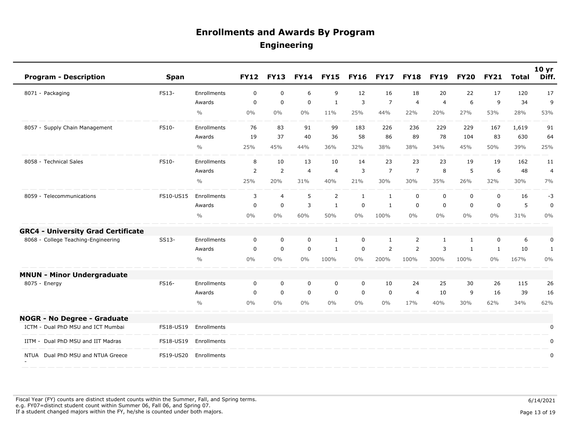| <b>Program - Description</b>              | <b>Span</b> |               | <b>FY12</b> | <b>FY13</b>    | <b>FY14</b> | <b>FY15</b>    | <b>FY16</b>  | <b>FY17</b>    | <b>FY18</b>    | <b>FY19</b>    | <b>FY20</b>  | <b>FY21</b> | <b>Total</b> | 10 <sub>yr</sub><br>Diff. |
|-------------------------------------------|-------------|---------------|-------------|----------------|-------------|----------------|--------------|----------------|----------------|----------------|--------------|-------------|--------------|---------------------------|
| 8071 - Packaging                          | FS13-       | Enrollments   | $\mathbf 0$ | $\mathbf 0$    | 6           | 9              | 12           | 16             | 18             | 20             | 22           | 17          | 120          | 17                        |
|                                           |             | Awards        | $\mathbf 0$ | $\mathbf 0$    | $\mathbf 0$ | $\mathbf{1}$   | 3            | $\overline{7}$ | $\overline{4}$ | $\overline{4}$ | 6            | 9           | 34           | 9                         |
|                                           |             | $\frac{0}{0}$ | $0\%$       | $0\%$          | $0\%$       | 11%            | 25%          | 44%            | 22%            | 20%            | 27%          | 53%         | 28%          | 53%                       |
| 8057 - Supply Chain Management            | FS10-       | Enrollments   | 76          | 83             | 91          | 99             | 183          | 226            | 236            | 229            | 229          | 167         | 1,619        | 91                        |
|                                           |             | Awards        | 19          | 37             | 40          | 36             | 58           | 86             | 89             | 78             | 104          | 83          | 630          | 64                        |
|                                           |             | $\frac{0}{0}$ | 25%         | 45%            | 44%         | 36%            | 32%          | 38%            | 38%            | 34%            | 45%          | 50%         | 39%          | 25%                       |
| 8058 - Technical Sales                    | FS10-       | Enrollments   | 8           | 10             | 13          | 10             | 14           | 23             | 23             | 23             | 19           | 19          | 162          | 11                        |
|                                           |             | Awards        | 2           | 2              | 4           | $\overline{4}$ | 3            | $\overline{7}$ | $\overline{7}$ | 8              | 5            | 6           | 48           | 4                         |
|                                           |             | $\frac{0}{0}$ | 25%         | 20%            | 31%         | 40%            | 21%          | 30%            | 30%            | 35%            | 26%          | 32%         | 30%          | 7%                        |
| 8059 - Telecommunications                 | FS10-US15   | Enrollments   | 3           | $\overline{4}$ | 5           | 2              | $\mathbf{1}$ | $\mathbf{1}$   | $\mathbf 0$    | $\mathbf 0$    | 0            | $\mathbf 0$ | 16           | $-3$                      |
|                                           |             | Awards        | $\mathbf 0$ | $\overline{0}$ | 3           | $\mathbf{1}$   | $\mathbf 0$  | $\mathbf{1}$   | $\mathbf 0$    | $\mathbf{0}$   | $\mathbf 0$  | $\mathbf 0$ | 5            | $\mathbf 0$               |
|                                           |             | $\frac{0}{0}$ | $0\%$       | $0\%$          | 60%         | 50%            | $0\%$        | 100%           | $0\%$          | $0\%$          | $0\%$        | $0\%$       | 31%          | $0\%$                     |
| <b>GRC4 - University Grad Certificate</b> |             |               |             |                |             |                |              |                |                |                |              |             |              |                           |
| 8068 - College Teaching-Engineering       | SS13-       | Enrollments   | 0           | 0              | $\mathbf 0$ | 1              | $\mathbf 0$  | 1              | 2              | 1              | $\mathbf{1}$ | $\mathbf 0$ | 6            | 0                         |
|                                           |             | Awards        | 0           | 0              | $\mathbf 0$ | $\mathbf{1}$   | $\mathbf 0$  | $\overline{2}$ | $\overline{2}$ | 3              | 1            | 1           | 10           | $\mathbf{1}$              |
|                                           |             | $\frac{0}{0}$ | $0\%$       | $0\%$          | $0\%$       | 100%           | $0\%$        | 200%           | 100%           | 300%           | 100%         | 0%          | 167%         | $0\%$                     |
| <b>MNUN - Minor Undergraduate</b>         |             |               |             |                |             |                |              |                |                |                |              |             |              |                           |
| 8075 - Energy                             | FS16-       | Enrollments   | $\mathbf 0$ | $\mathbf 0$    | $\mathbf 0$ | 0              | $\mathbf 0$  | 10             | 24             | 25             | 30           | 26          | 115          | 26                        |
|                                           |             | Awards        | $\mathbf 0$ | $\mathbf 0$    | $\mathbf 0$ | $\mathsf 0$    | $\mathbf 0$  | $\mathbf 0$    | $\overline{4}$ | 10             | 9            | 16          | 39           | 16                        |
|                                           |             | $\frac{0}{0}$ | 0%          | $0\%$          | $0\%$       | $0\%$          | $0\%$        | $0\%$          | 17%            | 40%            | 30%          | 62%         | 34%          | 62%                       |
| <b>NOGR - No Degree - Graduate</b>        |             |               |             |                |             |                |              |                |                |                |              |             |              |                           |
| ICTM - Dual PhD MSU and ICT Mumbai        | FS18-US19   | Enrollments   |             |                |             |                |              |                |                |                |              |             |              | 0                         |
| IITM - Dual PhD MSU and IIT Madras        | FS18-US19   | Enrollments   |             |                |             |                |              |                |                |                |              |             |              | $\mathbf 0$               |
| Dual PhD MSU and NTUA Greece<br>NTUA      | FS19-US20   | Enrollments   |             |                |             |                |              |                |                |                |              |             |              | $\pmb{0}$                 |
|                                           |             |               |             |                |             |                |              |                |                |                |              |             |              |                           |

Fiscal Year (FY) counts are distinct student counts within the Summer, Fall, and Spring terms.  $6/14/2021$  e.g. FY07=distinct student count within Summer 06, Fall 06, and Spring 07. If a student changed majors within the FY, he/she is counted under both majors. Page 13 of 19 and the student student changed majors within the FY, he/she is counted under both majors.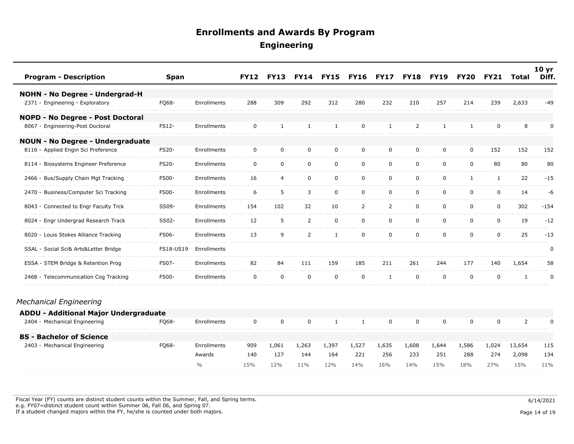| <b>Program - Description</b>            | <b>Span</b>  |               | <b>FY12</b>  | <b>FY13</b>    |                | <b>FY14 FY15</b> | <b>FY16</b>    | <b>FY17</b>    | <b>FY18</b> | <b>FY19</b> | <b>FY20</b>  | <b>FY21</b>  | <b>Total</b>   | 10 <sub>yr</sub><br>Diff. |
|-----------------------------------------|--------------|---------------|--------------|----------------|----------------|------------------|----------------|----------------|-------------|-------------|--------------|--------------|----------------|---------------------------|
| <b>NOHN - No Degree - Undergrad-H</b>   |              |               |              |                |                |                  |                |                |             |             |              |              |                |                           |
| 2371 - Engineering - Exploratory        | FQ68-        | Enrollments   | 288          | 309            | 292            | 312              | 280            | 232            | 210         | 257         | 214          | 239          | 2,633          | $-49$                     |
| NOPD - No Degree - Post Doctoral        |              |               |              |                |                |                  |                |                |             |             |              |              |                |                           |
| 8067 - Engineering-Post Doctoral        | FS12-        | Enrollments   | $\mathbf 0$  | 1              | $\mathbf{1}$   | 1                | $\mathbf 0$    | 1              | 2           | 1           | $\mathbf{1}$ | $\Omega$     | 8              | 0                         |
| <b>NOUN - No Degree - Undergraduate</b> |              |               |              |                |                |                  |                |                |             |             |              |              |                |                           |
| 8116 - Applied Engin Sci Preference     | FS20-        | Enrollments   | $\mathbf 0$  | $\mathbf 0$    | $\mathbf 0$    | $\mathsf 0$      | $\mathbf 0$    | $\mathbf 0$    | 0           | 0           | 0            | 152          | 152            | 152                       |
| 8114 - Biosystems Engineer Preference   | <b>FS20-</b> | Enrollments   | 0            | $\mathbf 0$    | 0              | $\mathbf 0$      | $\mathbf 0$    | $\mathbf 0$    | $\mathbf 0$ | $\mathbf 0$ | 0            | 80           | 80             | 80                        |
| 2466 - Bus/Supply Chain Mgt Tracking    | <b>FS00-</b> | Enrollments   | 16           | $\overline{4}$ | $\mathbf 0$    | $\mathbf 0$      | $\mathbf 0$    | $\mathbf 0$    | $\mathbf 0$ | 0           | $\mathbf{1}$ | $\mathbf{1}$ | 22             | $-15$                     |
| 2470 - Business/Computer Sci Tracking   | <b>FS00-</b> | Enrollments   | 6            | 5              | $\mathbf{3}$   | $\mathbf 0$      | $\mathbf 0$    | $\mathbf 0$    | $\mathbf 0$ | $\mathbf 0$ | 0            | $\mathbf 0$  | 14             | -6                        |
| 8043 - Connected to Engr Faculty Trck   | SS09-        | Enrollments   | 154          | 102            | 32             | 10               | $\overline{2}$ | $\overline{2}$ | 0           | 0           | 0            | $\mathbf 0$  | 302            | $-154$                    |
| 8024 - Engr Undergrad Research Track    | SS02-        | Enrollments   | 12           | 5              | 2              | $\mathbf 0$      | $\mathbf 0$    | $\mathbf 0$    | $\mathbf 0$ | $\mathbf 0$ | 0            | $\mathbf 0$  | 19             | $-12$                     |
| 8020 - Louis Stokes Alliance Tracking   | FS06-        | Enrollments   | 13           | 9              | $\overline{2}$ | 1                | $\mathbf 0$    | $\Omega$       | $\mathbf 0$ | $\mathbf 0$ | 0            | $\mathbf 0$  | 25             | $-13$                     |
| SSAL - Social Sci& Arts&Letter Bridge   | FS18-US19    | Enrollments   |              |                |                |                  |                |                |             |             |              |              |                | 0                         |
| ESSA - STEM Bridge & Retention Prog     | <b>FS07-</b> | Enrollments   | 82           | 84             | 111            | 159              | 185            | 211            | 261         | 244         | 177          | 140          | 1,654          | 58                        |
| 2468 - Telecommunication Cog Tracking   | <b>FS00-</b> | Enrollments   | $\mathsf{O}$ | $\mathbf 0$    | $\mathbf 0$    | $\mathbf 0$      | $\mathbf 0$    | $\mathbf{1}$   | $\mathbf 0$ | 0           | 0            | $\mathbf 0$  | $\mathbf{1}$   | $\pmb{0}$                 |
| Mechanical Engineering                  |              |               |              |                |                |                  |                |                |             |             |              |              |                |                           |
| ADDU - Additional Major Undergraduate   |              |               |              |                |                |                  |                |                |             |             |              |              |                |                           |
| 2404 - Mechanical Engineering           | FQ68-        | Enrollments   | $\mathbf 0$  | $\mathbf 0$    | $\mathbf 0$    | 1                | $\mathbf{1}$   | $\mathbf 0$    | $\mathbf 0$ | 0           | 0            | $\mathbf 0$  | $\overline{2}$ | 0                         |
| <b>BS - Bachelor of Science</b>         |              |               |              |                |                |                  |                |                |             |             |              |              |                |                           |
| 2403 - Mechanical Engineering           | FQ68-        | Enrollments   | 909          | 1,061          | 1,263          | 1,397            | 1,527          | 1,635          | 1,608       | 1,644       | 1,586        | 1,024        | 13,654         | 115                       |
|                                         |              | Awards        | 140          | 127            | 144            | 164              | 221            | 256            | 233         | 251         | 288          | 274          | 2,098          | 134                       |
|                                         |              | $\frac{0}{0}$ | 15%          | 12%            | 11%            | 12%              | 14%            | 16%            | 14%         | 15%         | 18%          | 27%          | 15%            | 11%                       |

Fiscal Year (FY) counts are distinct student counts within the Summer, Fall, and Spring terms.  $6/14/2021$  e.g. FY07=distinct student count within Summer 06, Fall 06, and Spring 07. If a student changed majors within the FY, he/she is counted under both majors. Page 14 of 19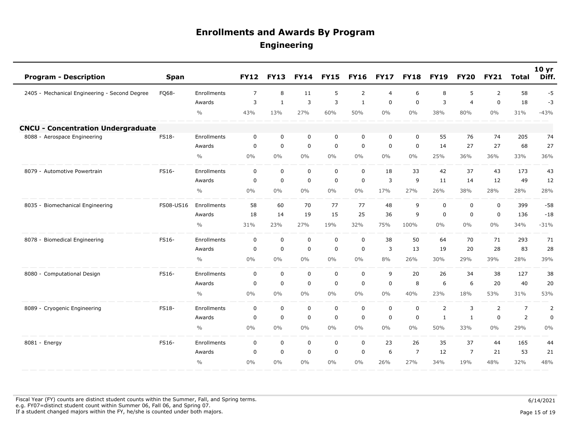| <b>Program - Description</b>                  | <b>Span</b> |               | <b>FY12</b>    | <b>FY13</b>  | <b>FY14</b>    | <b>FY15</b> | <b>FY16</b>  | <b>FY17</b>    | <b>FY18</b>    | <b>FY19</b>    | <b>FY20</b>    | <b>FY21</b> | <b>Total</b>   | 10 <sub>yr</sub><br>Diff. |
|-----------------------------------------------|-------------|---------------|----------------|--------------|----------------|-------------|--------------|----------------|----------------|----------------|----------------|-------------|----------------|---------------------------|
| 2405 - Mechanical Engineering - Second Degree | FQ68-       | Enrollments   | $\overline{7}$ | 8            | 11             | 5           | 2            | $\overline{4}$ | 6              | 8              | 5              | 2           | 58             | $-5$                      |
|                                               |             | Awards        | 3              | $\mathbf{1}$ | $\overline{3}$ | 3           | $\mathbf{1}$ | $\mathbf 0$    | $\mathbf 0$    | $\overline{3}$ | 4              | $\mathbf 0$ | 18             | $-3$                      |
|                                               |             | $\frac{0}{0}$ | 43%            | 13%          | 27%            | 60%         | 50%          | $0\%$          | $0\%$          | 38%            | 80%            | $0\%$       | 31%            | $-43%$                    |
| <b>CNCU - Concentration Undergraduate</b>     |             |               |                |              |                |             |              |                |                |                |                |             |                |                           |
| 8088 - Aerospace Engineering                  | FS18-       | Enrollments   | $\mathbf 0$    | $\mathbf 0$  | $\mathbf 0$    | 0           | $\mathbf 0$  | $\mathbf 0$    | $\mathbf 0$    | 55             | 76             | 74          | 205            | 74                        |
|                                               |             | Awards        | $\mathbf 0$    | $\mathbf 0$  | $\mathbf 0$    | $\mathsf 0$ | 0            | $\mathbf 0$    | $\mathbf 0$    | 14             | 27             | 27          | 68             | 27                        |
|                                               |             | $\frac{0}{0}$ | $0\%$          | $0\%$        | $0\%$          | $0\%$       | $0\%$        | $0\%$          | $0\%$          | 25%            | 36%            | 36%         | 33%            | 36%                       |
| 8079 - Automotive Powertrain                  | FS16-       | Enrollments   | $\mathbf 0$    | $\mathbf 0$  | $\mathbf 0$    | $\mathbf 0$ | $\mathbf 0$  | 18             | 33             | 42             | 37             | 43          | 173            | 43                        |
|                                               |             | Awards        | 0              | $\mathbf 0$  | $\mathbf 0$    | $\mathbf 0$ | 0            | 3              | 9              | 11             | 14             | 12          | 49             | 12                        |
|                                               |             | $\frac{0}{0}$ | $0\%$          | $0\%$        | $0\%$          | $0\%$       | $0\%$        | 17%            | 27%            | 26%            | 38%            | 28%         | 28%            | 28%                       |
| 8035 - Biomechanical Engineering              | FS08-US16   | Enrollments   | 58             | 60           | 70             | 77          | 77           | 48             | 9              | $\mathbf 0$    | 0              | $\mathbf 0$ | 399            | $-58$                     |
|                                               |             | Awards        | 18             | 14           | 19             | 15          | 25           | 36             | 9              | $\mathbf 0$    | $\mathbf 0$    | $\mathbf 0$ | 136            | $-18$                     |
|                                               |             | $\frac{0}{0}$ | 31%            | 23%          | 27%            | 19%         | 32%          | 75%            | 100%           | $0\%$          | $0\%$          | $0\%$       | 34%            | $-31%$                    |
| 8078 - Biomedical Engineering                 | FS16-       | Enrollments   | $\mathbf 0$    | $\mathbf 0$  | $\mathbf 0$    | $\mathsf 0$ | $\mathbf 0$  | 38             | 50             | 64             | 70             | 71          | 293            | 71                        |
|                                               |             | Awards        | $\mathbf 0$    | $\mathbf 0$  | $\mathbf 0$    | $\mathsf 0$ | 0            | 3              | 13             | 19             | 20             | 28          | 83             | 28                        |
|                                               |             | $\frac{0}{0}$ | $0\%$          | $0\%$        | $0\%$          | $0\%$       | $0\%$        | 8%             | 26%            | 30%            | 29%            | 39%         | 28%            | 39%                       |
| 8080 - Computational Design                   | FS16-       | Enrollments   | $\mathbf 0$    | $\mathbf 0$  | $\mathbf 0$    | $\mathbf 0$ | $\mathbf 0$  | 9              | 20             | 26             | 34             | 38          | 127            | 38                        |
|                                               |             | Awards        | 0              | $\mathbf 0$  | $\mathbf 0$    | $\mathsf 0$ | 0            | $\mathbf 0$    | 8              | 6              | 6              | 20          | 40             | 20                        |
|                                               |             | $\frac{0}{0}$ | $0\%$          | $0\%$        | $0\%$          | $0\%$       | $0\%$        | $0\%$          | 40%            | 23%            | 18%            | 53%         | 31%            | 53%                       |
| 8089 - Cryogenic Engineering                  | FS18-       | Enrollments   | $\mathbf 0$    | $\mathbf 0$  | $\mathbf 0$    | $\mathbf 0$ | $\mathbf 0$  | $\mathbf 0$    | $\mathbf 0$    | 2              | 3              | 2           | $\overline{7}$ | 2                         |
|                                               |             | Awards        | $\mathbf 0$    | $\mathbf 0$  | $\mathbf 0$    | $\mathbf 0$ | $\mathbf 0$  | $\mathbf 0$    | $\mathbf 0$    | $\mathbf{1}$   | $\mathbf{1}$   | $\mathbf 0$ | $\overline{2}$ | $\mathbf 0$               |
|                                               |             | $\frac{0}{0}$ | 0%             | $0\%$        | $0\%$          | $0\%$       | $0\%$        | $0\%$          | $0\%$          | 50%            | 33%            | $0\%$       | 29%            | 0%                        |
| 8081 - Energy                                 | FS16-       | Enrollments   | $\Omega$       | $\mathbf 0$  | $\mathbf 0$    | $\mathbf 0$ | $\mathbf 0$  | 23             | 26             | 35             | 37             | 44          | 165            | 44                        |
|                                               |             | Awards        | $\mathbf{0}$   | $\mathbf 0$  | $\mathbf 0$    | $\mathbf 0$ | $\mathbf 0$  | 6              | $\overline{7}$ | 12             | $\overline{7}$ | 21          | 53             | 21                        |
|                                               |             | $\frac{0}{0}$ | 0%             | $0\%$        | 0%             | $0\%$       | $0\%$        | 26%            | 27%            | 34%            | 19%            | 48%         | 32%            | 48%                       |

Fiscal Year (FY) counts are distinct student counts within the Summer, Fall, and Spring terms.  $6/14/2021$  e.g. FY07=distinct student count within Summer 06, Fall 06, and Spring 07. If a student changed majors within the FY, he/she is counted under both majors. Page 15 of 19 and the student student changed majors within the FY, he/she is counted under both majors.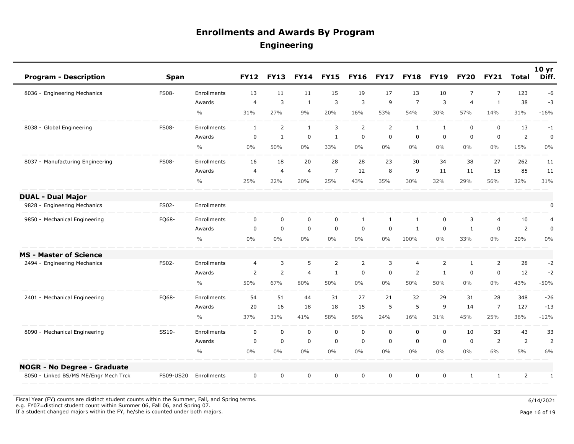| <b>Program - Description</b>          | <b>Span</b>  |               | <b>FY12</b>    | <b>FY13</b>    | <b>FY14</b>    | <b>FY15</b>    | <b>FY16</b>    | <b>FY17</b>  | <b>FY18</b>    | <b>FY19</b>    | <b>FY20</b>    | <b>FY21</b>    | <b>Total</b>   | 10 <sub>yr</sub><br>Diff. |
|---------------------------------------|--------------|---------------|----------------|----------------|----------------|----------------|----------------|--------------|----------------|----------------|----------------|----------------|----------------|---------------------------|
| 8036 - Engineering Mechanics          | <b>FS08-</b> | Enrollments   | 13             | 11             | 11             | 15             | 19             | 17           | 13             | 10             | $\overline{7}$ | $\overline{7}$ | 123            | -6                        |
|                                       |              | Awards        | $\overline{4}$ | $\overline{3}$ | $\mathbf{1}$   | $\overline{3}$ | 3              | 9            | $\overline{7}$ | 3              | $\overline{4}$ | $\mathbf{1}$   | 38             | $-3$                      |
|                                       |              | $\frac{0}{0}$ | 31%            | 27%            | 9%             | 20%            | 16%            | 53%          | 54%            | 30%            | 57%            | 14%            | 31%            | $-16%$                    |
| 8038 - Global Engineering             | <b>FS08-</b> | Enrollments   | $\mathbf{1}$   | $\overline{2}$ | $\mathbf{1}$   | 3              | $\overline{2}$ | 2            | $\mathbf{1}$   | $\mathbf{1}$   | 0              | $\mathbf 0$    | 13             | $-1$                      |
|                                       |              | Awards        | $\mathbf 0$    | $\mathbf{1}$   | $\mathbf 0$    | $\mathbf{1}$   | $\mathbf 0$    | $\mathbf 0$  | $\mathbf 0$    | $\mathbf 0$    | $\mathbf 0$    | $\mathbf 0$    | $\overline{2}$ | $\mathbf 0$               |
|                                       |              | $\frac{0}{0}$ | $0\%$          | 50%            | $0\%$          | 33%            | $0\%$          | $0\%$        | $0\%$          | $0\%$          | $0\%$          | $0\%$          | 15%            | $0\%$                     |
| 8037 - Manufacturing Engineering      | <b>FS08-</b> | Enrollments   | 16             | 18             | 20             | 28             | 28             | 23           | 30             | 34             | 38             | 27             | 262            | 11                        |
|                                       |              | Awards        | $\overline{4}$ | $\overline{4}$ | $\overline{4}$ | $\overline{7}$ | 12             | 8            | 9              | 11             | 11             | 15             | 85             | 11                        |
|                                       |              | $\frac{0}{0}$ | 25%            | 22%            | 20%            | 25%            | 43%            | 35%          | 30%            | 32%            | 29%            | 56%            | 32%            | 31%                       |
| <b>DUAL - Dual Major</b>              |              |               |                |                |                |                |                |              |                |                |                |                |                |                           |
| 9828 - Engineering Mechanics          | FS02-        | Enrollments   |                |                |                |                |                |              |                |                |                |                |                | 0                         |
| 9850 - Mechanical Engineering         | FQ68-        | Enrollments   | $\mathbf 0$    | $\mathbf 0$    | $\mathbf 0$    | $\mathbf 0$    | $\mathbf{1}$   | $\mathbf{1}$ | $\mathbf{1}$   | $\mathbf 0$    | 3              | $\overline{4}$ | 10             | $\overline{4}$            |
|                                       |              | Awards        | $\mathbf 0$    | $\mathbf 0$    | $\mathbf 0$    | $\mathbf 0$    | $\mathbf 0$    | $\mathbf 0$  | $\mathbf{1}$   | $\mathbf 0$    | $\mathbf{1}$   | $\mathbf 0$    | $\overline{2}$ | $\mathbf 0$               |
|                                       |              | $\frac{0}{0}$ | $0\%$          | $0\%$          | $0\%$          | $0\%$          | $0\%$          | $0\%$        | 100%           | $0\%$          | 33%            | $0\%$          | 20%            | 0%                        |
| <b>MS - Master of Science</b>         |              |               |                |                |                |                |                |              |                |                |                |                |                |                           |
| 2494 - Engineering Mechanics          | FS02-        | Enrollments   | $\overline{4}$ | 3              | 5              | $\overline{2}$ | $\overline{2}$ | 3            | $\overline{4}$ | $\overline{2}$ | $\mathbf{1}$   | 2              | 28             | $-2$                      |
|                                       |              | Awards        | $\overline{2}$ | $\overline{2}$ | $\overline{4}$ | $\mathbf{1}$   | 0              | $\mathbf 0$  | $\overline{2}$ | $\mathbf{1}$   | $\mathbf 0$    | $\mathbf 0$    | 12             | $-2$                      |
|                                       |              | $\frac{0}{0}$ | 50%            | 67%            | 80%            | 50%            | $0\%$          | $0\%$        | 50%            | 50%            | $0\%$          | $0\%$          | 43%            | $-50%$                    |
| 2401 - Mechanical Engineering         | FQ68-        | Enrollments   | 54             | 51             | 44             | 31             | 27             | 21           | 32             | 29             | 31             | 28             | 348            | $-26$                     |
|                                       |              | Awards        | 20             | 16             | 18             | 18             | 15             | 5            | 5              | 9              | 14             | $\overline{7}$ | 127            | $-13$                     |
|                                       |              | $\frac{0}{0}$ | 37%            | 31%            | 41%            | 58%            | 56%            | 24%          | 16%            | 31%            | 45%            | 25%            | 36%            | $-12%$                    |
| 8090 - Mechanical Engineering         | SS19-        | Enrollments   | $\Omega$       | $\mathsf 0$    | $\mathbf 0$    | $\mathbf 0$    | $\mathbf 0$    | $\mathbf 0$  | $\mathbf 0$    | $\mathbf 0$    | 10             | 33             | 43             | 33                        |
|                                       |              | Awards        | $\mathbf 0$    | $\mathbf 0$    | $\mathbf 0$    | $\mathbf 0$    | $\mathbf 0$    | $\mathbf 0$  | $\mathbf 0$    | $\mathbf 0$    | 0              | 2              | $\overline{2}$ | $\overline{2}$            |
|                                       |              | $\frac{0}{0}$ | $0\%$          | $0\%$          | $0\%$          | $0\%$          | $0\%$          | $0\%$        | $0\%$          | $0\%$          | $0\%$          | 6%             | 5%             | 6%                        |
| <b>NOGR - No Degree - Graduate</b>    |              |               |                |                |                |                |                |              |                |                |                |                |                |                           |
| 8050 - Linked BS/MS ME/Engr Mech Trck | FS09-US20    | Enrollments   | $\mathbf 0$    | $\mathbf 0$    | $\mathbf 0$    | $\mathbf 0$    | $\mathbf 0$    | $\mathbf 0$  | $\mathbf 0$    | 0              | $\mathbf{1}$   | 1              | $\overline{2}$ | $\mathbf{1}$              |

Fiscal Year (FY) counts are distinct student counts within the Summer, Fall, and Spring terms.  $6/14/2021$ e.g. FY07=distinct student count within Summer 06, Fall 06, and Spring 07.

If a student changed majors within the FY, he/she is counted under both majors. Page 16 of 19 and the student of the student changed majors within the FY, he/she is counted under both majors.

Page 16 of 19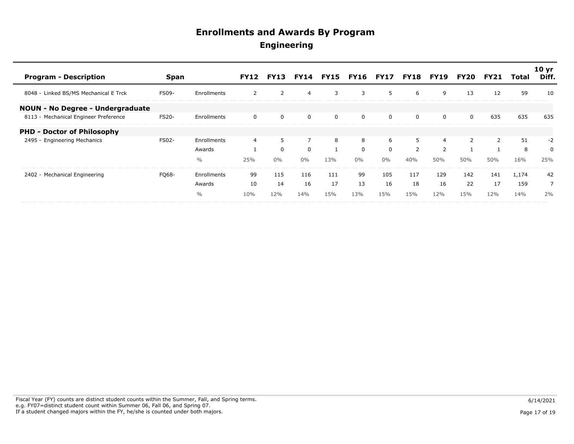| <b>Program - Description</b>            | Span         |               | <b>FY12</b> | <b>FY13</b> |       |     |          | <b>FY14 FY15 FY16 FY17 FY18</b> |                | <b>FY19</b>    | FY20 | FY21 | Total | 10 <sub>yr</sub><br>Diff. |
|-----------------------------------------|--------------|---------------|-------------|-------------|-------|-----|----------|---------------------------------|----------------|----------------|------|------|-------|---------------------------|
| 8048 - Linked BS/MS Mechanical E Trck   | <b>FS09-</b> | Enrollments   |             | 2           | 4     | 3   | 3        | 5.                              | 6              | 9              | 13   | 12   | 59    | 10                        |
| <b>NOUN - No Degree - Undergraduate</b> |              |               |             |             |       |     |          |                                 |                |                |      |      |       |                           |
| 8113 - Mechanical Engineer Preference   | <b>FS20-</b> | Enrollments   | 0           | $\Omega$    | 0     | 0   | $\Omega$ | $\Omega$                        | 0              | 0              | 0    | 635  | 635   | 635                       |
| <b>PHD - Doctor of Philosophy</b>       |              |               |             |             |       |     |          |                                 |                |                |      |      |       |                           |
| 2495 - Engineering Mechanics            | <b>FS02-</b> | Enrollments   | 4           | 5           |       | 8   | 8        | 6                               | 5              | 4              |      | 2    | 51    | $-2$                      |
|                                         |              | Awards        |             | $\Omega$    | 0     |     | $\Omega$ | $\Omega$                        | $\overline{2}$ | $\overline{2}$ |      |      | 8     | 0                         |
|                                         |              | $\frac{0}{0}$ | 25%         | $0\%$       | $0\%$ | 13% | $0\%$    | $0\%$                           | 40%            | 50%            | 50%  | 50%  | 16%   | 25%                       |
| 2402 - Mechanical Engineering           | FQ68-        | Enrollments   | 99          | 115         | 116   | 111 | 99       | 105                             | 117            | 129            | 142  | 141  | 1,174 | 42                        |
|                                         |              | Awards        | 10          | 14          | 16    | 17  | 13       | 16                              | 18             | 16             | 22   | 17   | 159   | $\overline{7}$            |
|                                         |              | $\frac{0}{0}$ | 10%         | 12%         | 14%   | 15% | 13%      | 15%                             | 15%            | 12%            | 15%  | 12%  | 14%   | 2%                        |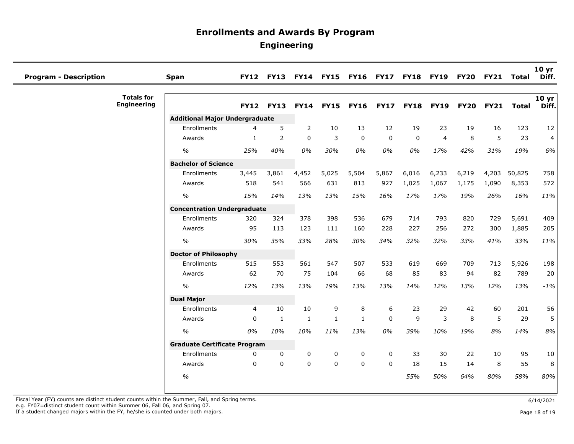| <b>Program - Description</b> |                                         | Span                                  | <b>FY12</b>    | <b>FY13</b> |              |              | FY14 FY15 FY16 FY17 |             | <b>FY18</b> | <b>FY19</b>    | <b>FY20</b> | <b>FY21</b> | <b>Total</b> | 10 <sub>yr</sub><br>Diff. |
|------------------------------|-----------------------------------------|---------------------------------------|----------------|-------------|--------------|--------------|---------------------|-------------|-------------|----------------|-------------|-------------|--------------|---------------------------|
|                              | <b>Totals for</b><br><b>Engineering</b> |                                       | <b>FY12</b>    | <b>FY13</b> | <b>FY14</b>  | <b>FY15</b>  | <b>FY16</b>         | <b>FY17</b> | <b>FY18</b> | <b>FY19</b>    | <b>FY20</b> | <b>FY21</b> | <b>Total</b> | 10 yr<br>Diff.            |
|                              |                                         | <b>Additional Major Undergraduate</b> |                |             |              |              |                     |             |             |                |             |             |              |                           |
|                              |                                         | Enrollments                           | 4              | 5           | 2            | 10           | 13                  | 12          | 19          | 23             | 19          | 16          | 123          | 12                        |
|                              |                                         | Awards                                | 1              | 2           | $\mathbf 0$  | 3            | 0                   | $\mathbf 0$ | $\mathbf 0$ | $\overline{4}$ | 8           | 5           | 23           | $\overline{4}$            |
|                              |                                         | $\frac{1}{2}$                         | 25%            | 40%         | 0%           | 30%          | 0%                  | 0%          | 0%          | 17%            | 42%         | 31%         | 19%          | 6%                        |
|                              |                                         | <b>Bachelor of Science</b>            |                |             |              |              |                     |             |             |                |             |             |              |                           |
|                              |                                         | Enrollments                           | 3,445          | 3,861       | 4,452        | 5,025        | 5,504               | 5,867       | 6,016       | 6,233          | 6,219       | 4,203       | 50,825       | 758                       |
|                              |                                         | Awards                                | 518            | 541         | 566          | 631          | 813                 | 927         | 1,025       | 1,067          | 1,175       | 1,090       | 8,353        | 572                       |
|                              |                                         | $\frac{0}{0}$                         | 15%            | 14%         | 13%          | 13%          | 15%                 | 16%         | 17%         | 17%            | 19%         | 26%         | 16%          | 11%                       |
|                              |                                         | <b>Concentration Undergraduate</b>    |                |             |              |              |                     |             |             |                |             |             |              |                           |
|                              |                                         | Enrollments                           | 320            | 324         | 378          | 398          | 536                 | 679         | 714         | 793            | 820         | 729         | 5,691        | 409                       |
|                              |                                         | Awards                                | 95             | 113         | 123          | 111          | 160                 | 228         | 227         | 256            | 272         | 300         | 1,885        | 205                       |
|                              |                                         | $\frac{0}{0}$                         | 30%            | 35%         | 33%          | 28%          | 30%                 | 34%         | 32%         | 32%            | 33%         | 41%         | 33%          | 11%                       |
|                              |                                         | <b>Doctor of Philosophy</b>           |                |             |              |              |                     |             |             |                |             |             |              |                           |
|                              |                                         | Enrollments                           | 515            | 553         | 561          | 547          | 507                 | 533         | 619         | 669            | 709         | 713         | 5,926        | 198                       |
|                              |                                         | Awards                                | 62             | 70          | 75           | 104          | 66                  | 68          | 85          | 83             | 94          | 82          | 789          | 20                        |
|                              |                                         | $\frac{0}{0}$                         | 12%            | 13%         | 13%          | 19%          | 13%                 | 13%         | 14%         | 12%            | 13%         | 12%         | 13%          | $-1%$                     |
|                              |                                         | <b>Dual Major</b>                     |                |             |              |              |                     |             |             |                |             |             |              |                           |
|                              |                                         | Enrollments                           | $\overline{4}$ | 10          | 10           | 9            | 8                   | 6           | 23          | 29             | 42          | 60          | 201          | 56                        |
|                              |                                         | Awards                                | $\Omega$       | 1           | $\mathbf{1}$ | $\mathbf{1}$ | $\mathbf{1}$        | $\Omega$    | 9           | 3              | 8           | 5           | 29           | 5                         |
|                              |                                         | $\frac{0}{0}$                         | 0%             | 10%         | 10%          | 11%          | 13%                 | 0%          | 39%         | 10%            | 19%         | 8%          | 14%          | 8%                        |
|                              |                                         | <b>Graduate Certificate Program</b>   |                |             |              |              |                     |             |             |                |             |             |              |                           |
|                              |                                         | Enrollments                           | 0              | 0           | $\mathbf 0$  | 0            | 0                   | 0           | 33          | 30             | 22          | 10          | 95           | 10                        |
|                              |                                         | Awards                                | $\mathbf 0$    | $\Omega$    | $\mathbf 0$  | $\mathbf 0$  | $\mathbf 0$         | 0           | 18          | 15             | 14          | 8           | 55           | 8                         |
|                              |                                         | $\frac{0}{0}$                         |                |             |              |              |                     |             | 55%         | 50%            | 64%         | 80%         | 58%          | 80%                       |
|                              |                                         |                                       |                |             |              |              |                     |             |             |                |             |             |              |                           |

Fiscal Year (FY) counts are distinct student counts within the Summer, Fall, and Spring terms.<br>e.g. FY07=distinct student count within Summer 06, Fall 06, and Spring 07.

If a student changed majors within the FY, he/she is counted under both majors. Page 18 of 19 and the student student changed majors within the FY, he/she is counted under both majors.